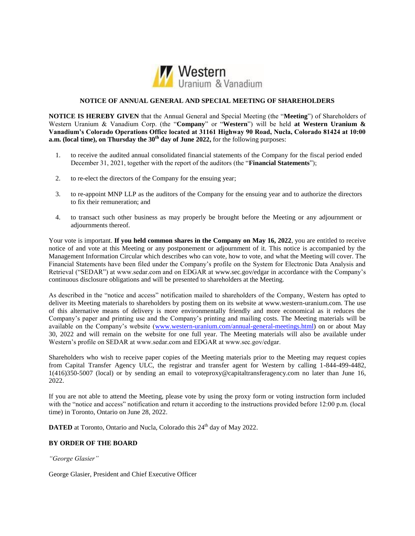

# **NOTICE OF ANNUAL GENERAL AND SPECIAL MEETING OF SHAREHOLDERS**

**NOTICE IS HEREBY GIVEN** that the Annual General and Special Meeting (the "**Meeting**") of Shareholders of Western Uranium & Vanadium Corp. (the "**Company**" or "**Western**") will be held **at Western Uranium & Vanadium's Colorado Operations Office located at 31161 Highway 90 Road, Nucla, Colorado 81424 at 10:00 a.m. (local time), on Thursday the 30<sup>th</sup> day of June 2022, for the following purposes:** 

- 1. to receive the audited annual consolidated financial statements of the Company for the fiscal period ended December 31, 2021, together with the report of the auditors (the "**Financial Statements**");
- 2. to re-elect the directors of the Company for the ensuing year;
- 3. to re-appoint MNP LLP as the auditors of the Company for the ensuing year and to authorize the directors to fix their remuneration; and
- 4. to transact such other business as may properly be brought before the Meeting or any adjournment or adjournments thereof.

Your vote is important. **If you held common shares in the Company on May 16, 2022**, you are entitled to receive notice of and vote at this Meeting or any postponement or adjournment of it. This notice is accompanied by the Management Information Circular which describes who can vote, how to vote, and what the Meeting will cover. The Financial Statements have been filed under the Company's profile on the System for Electronic Data Analysis and Retrieval ("SEDAR") at www.sedar.com and on EDGAR at www.sec.gov/edgar in accordance with the Company's continuous disclosure obligations and will be presented to shareholders at the Meeting.

As described in the "notice and access" notification mailed to shareholders of the Company, Western has opted to deliver its Meeting materials to shareholders by posting them on its website at www.western-uranium.com. The use of this alternative means of delivery is more environmentally friendly and more economical as it reduces the Company's paper and printing use and the Company's printing and mailing costs. The Meeting materials will be available on the Company's website [\(www.western-uranium.com/annual-general-meetings.html\)](http://www.western-uranium.com/annual-general-meetings.html) on or about May 30, 2022 and will remain on the website for one full year. The Meeting materials will also be available under Western's profile on SEDAR at www.sedar.com and EDGAR at www.sec.gov/edgar.

Shareholders who wish to receive paper copies of the Meeting materials prior to the Meeting may request copies from Capital Transfer Agency ULC, the registrar and transfer agent for Western by calling 1-844-499-4482, 1(416)350-5007 (local) or by sending an email to voteproxy@capitaltransferagency.com no later than June 16, 2022.

If you are not able to attend the Meeting, please vote by using the proxy form or voting instruction form included with the "notice and access" notification and return it according to the instructions provided before 12:00 p.m. (local time) in Toronto, Ontario on June 28, 2022.

DATED at Toronto, Ontario and Nucla, Colorado this 24<sup>th</sup> day of May 2022.

# **BY ORDER OF THE BOARD**

*"George Glasier"*

George Glasier, President and Chief Executive Officer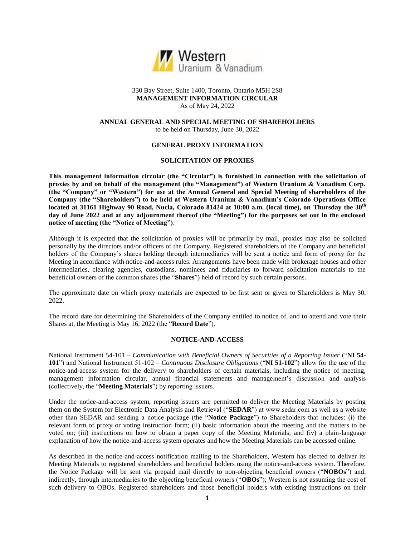

# 330 Bay Street, Suite 1400, Toronto, Ontario M5H 2S8 **MANAGEMENT INFORMATION CIRCULAR** As of May 24, 2022

### **ANNUAL GENERAL AND SPECIAL MEETING OF SHAREHOLDERS** to be held on Thursday, June 30, 2022

# **GENERAL PROXY INFORMATION**

# **SOLICITATION OF PROXIES**

**This management information circular (the "Circular") is furnished in connection with the solicitation of proxies by and on behalf of the management (the "Management") of Western Uranium & Vanadium Corp. (the "Company" or "Western") for use at the Annual General and Special Meeting of shareholders of the Company (the "Shareholders") to be held at Western Uranium & Vanadium's Colorado Operations Office located at 31161 Highway 90 Road, Nucla, Colorado 81424 at 10:00 a.m. (local time), on Thursday the 30th day of June 2022 and at any adjournment thereof (the "Meeting") for the purposes set out in the enclosed notice of meeting (the "Notice of Meeting")**.

Although it is expected that the solicitation of proxies will be primarily by mail, proxies may also be solicited personally by the directors and/or officers of the Company. Registered shareholders of the Company and beneficial holders of the Company's shares holding through intermediaries will be sent a notice and form of proxy for the Meeting in accordance with notice-and-access rules. Arrangements have been made with brokerage houses and other intermediaries, clearing agencies, custodians, nominees and fiduciaries to forward solicitation materials to the beneficial owners of the common shares (the "**Shares**") held of record by such certain persons.

The approximate date on which proxy materials are expected to be first sent or given to Shareholders is May 30, 2022.

The record date for determining the Shareholders of the Company entitled to notice of, and to attend and vote their Shares at, the Meeting is May 16, 2022 (the "**Record Date**").

# **NOTICE-AND-ACCESS**

National Instrument 54-101 – *Communication with Beneficial Owners of Securities of a Reporting Issuer* ("**NI 54- 101**") and National Instrument 51-102 – *Continuous Disclosure Obligations* ("**NI 51-102**") allow for the use of the notice-and-access system for the delivery to shareholders of certain materials, including the notice of meeting, management information circular, annual financial statements and management's discussion and analysis (collectively, the "**Meeting Materials**") by reporting issuers.

Under the notice-and-access system, reporting issuers are permitted to deliver the Meeting Materials by posting them on the System for Electronic Data Analysis and Retrieval ("**SEDAR**") at www.sedar.com as well as a website other than SEDAR and sending a notice package (the "**Notice Package**") to Shareholders that includes: (i) the relevant form of proxy or voting instruction form; (ii) basic information about the meeting and the matters to be voted on; (iii) instructions on how to obtain a paper copy of the Meeting Materials; and (iv) a plain-language explanation of how the notice-and-access system operates and how the Meeting Materials can be accessed online.

As described in the notice-and-access notification mailing to the Shareholders, Western has elected to deliver its Meeting Materials to registered shareholders and beneficial holders using the notice-and-access system. Therefore, the Notice Package will be sent via prepaid mail directly to non-objecting beneficial owners ("**NOBOs**") and, indirectly, through intermediaries to the objecting beneficial owners ("**OBOs**"); Western is not assuming the cost of such delivery to OBOs. Registered shareholders and those beneficial holders with existing instructions on their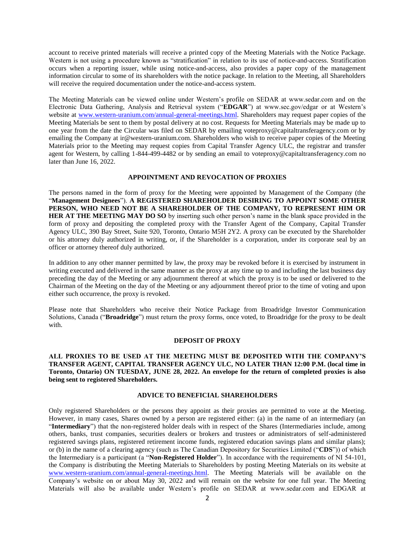account to receive printed materials will receive a printed copy of the Meeting Materials with the Notice Package. Western is not using a procedure known as "stratification" in relation to its use of notice-and-access. Stratification occurs when a reporting issuer, while using notice-and-access, also provides a paper copy of the management information circular to some of its shareholders with the notice package. In relation to the Meeting, all Shareholders will receive the required documentation under the notice-and-access system.

The Meeting Materials can be viewed online under Western's profile on SEDAR at www.sedar.com and on the Electronic Data Gathering, Analysis and Retrieval system ("**EDGAR**") at www.sec.gov/edgar or at Western's website at [www.western-uranium.com/annual-general-meetings.html.](http://www.western-uranium.com/annual-general-meetings.html) Shareholders may request paper copies of the Meeting Materials be sent to them by postal delivery at no cost. Requests for Meeting Materials may be made up to one year from the date the Circular was filed on SEDAR by emailing voteproxy@capitaltransferagency.com or by emailing the Company at ir@western-uranium.com. Shareholders who wish to receive paper copies of the Meeting Materials prior to the Meeting may request copies from Capital Transfer Agency ULC, the registrar and transfer agent for Western, by calling 1-844-499-4482 or by sending an email to voteproxy@capitaltransferagency.com no later than June 16, 2022.

#### **APPOINTMENT AND REVOCATION OF PROXIES**

The persons named in the form of proxy for the Meeting were appointed by Management of the Company (the "**Management Designees**"). **A REGISTERED SHAREHOLDER DESIRING TO APPOINT SOME OTHER PERSON, WHO NEED NOT BE A SHAREHOLDER OF THE COMPANY, TO REPRESENT HIM OR HER AT THE MEETING MAY DO SO** by inserting such other person's name in the blank space provided in the form of proxy and depositing the completed proxy with the Transfer Agent of the Company, Capital Transfer Agency ULC, 390 Bay Street, Suite 920, Toronto, Ontario M5H 2Y2. A proxy can be executed by the Shareholder or his attorney duly authorized in writing, or, if the Shareholder is a corporation, under its corporate seal by an officer or attorney thereof duly authorized.

In addition to any other manner permitted by law, the proxy may be revoked before it is exercised by instrument in writing executed and delivered in the same manner as the proxy at any time up to and including the last business day preceding the day of the Meeting or any adjournment thereof at which the proxy is to be used or delivered to the Chairman of the Meeting on the day of the Meeting or any adjournment thereof prior to the time of voting and upon either such occurrence, the proxy is revoked.

Please note that Shareholders who receive their Notice Package from Broadridge Investor Communication Solutions, Canada ("**Broadridge**") must return the proxy forms, once voted, to Broadridge for the proxy to be dealt with.

#### **DEPOSIT OF PROXY**

**ALL PROXIES TO BE USED AT THE MEETING MUST BE DEPOSITED WITH THE COMPANY'S TRANSFER AGENT, CAPITAL TRANSFER AGENCY ULC, NO LATER THAN 12:00 P.M. (local time in Toronto, Ontario) ON TUESDAY, JUNE 28, 2022. An envelope for the return of completed proxies is also being sent to registered Shareholders.**

# **ADVICE TO BENEFICIAL SHAREHOLDERS**

Only registered Shareholders or the persons they appoint as their proxies are permitted to vote at the Meeting. However, in many cases, Shares owned by a person are registered either: (a) in the name of an intermediary (an "Intermediary") that the non-registered holder deals with in respect of the Shares (Intermediaries include, among others, banks, trust companies, securities dealers or brokers and trustees or administrators of self-administered registered savings plans, registered retirement income funds, registered education savings plans and similar plans); or (b) in the name of a clearing agency (such as The Canadian Depository for Securities Limited ("**CDS**")) of which the Intermediary is a participant (a "**Non-Registered Holder**"). In accordance with the requirements of NI 54-101, the Company is distributing the Meeting Materials to Shareholders by posting Meeting Materials on its website at [www.western-uranium.com/annual-general-meetings.html.](http://www.western-uranium.com/annual-general-meetings.html) The Meeting Materials will be available on the Company's website on or about May 30, 2022 and will remain on the website for one full year. The Meeting Materials will also be available under Western's profile on SEDAR at www.sedar.com and EDGAR at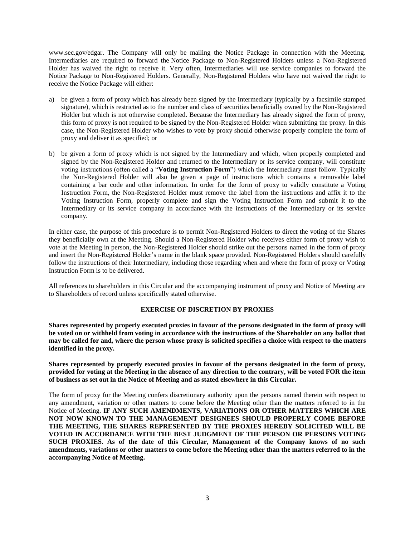www.sec.gov/edgar. The Company will only be mailing the Notice Package in connection with the Meeting. Intermediaries are required to forward the Notice Package to Non-Registered Holders unless a Non-Registered Holder has waived the right to receive it. Very often, Intermediaries will use service companies to forward the Notice Package to Non-Registered Holders. Generally, Non-Registered Holders who have not waived the right to receive the Notice Package will either:

- a) be given a form of proxy which has already been signed by the Intermediary (typically by a facsimile stamped signature), which is restricted as to the number and class of securities beneficially owned by the Non-Registered Holder but which is not otherwise completed. Because the Intermediary has already signed the form of proxy, this form of proxy is not required to be signed by the Non-Registered Holder when submitting the proxy. In this case, the Non-Registered Holder who wishes to vote by proxy should otherwise properly complete the form of proxy and deliver it as specified; or
- b) be given a form of proxy which is not signed by the Intermediary and which, when properly completed and signed by the Non-Registered Holder and returned to the Intermediary or its service company, will constitute voting instructions (often called a "**Voting Instruction Form**") which the Intermediary must follow. Typically the Non-Registered Holder will also be given a page of instructions which contains a removable label containing a bar code and other information. In order for the form of proxy to validly constitute a Voting Instruction Form, the Non-Registered Holder must remove the label from the instructions and affix it to the Voting Instruction Form, properly complete and sign the Voting Instruction Form and submit it to the Intermediary or its service company in accordance with the instructions of the Intermediary or its service company.

In either case, the purpose of this procedure is to permit Non-Registered Holders to direct the voting of the Shares they beneficially own at the Meeting. Should a Non-Registered Holder who receives either form of proxy wish to vote at the Meeting in person, the Non-Registered Holder should strike out the persons named in the form of proxy and insert the Non-Registered Holder's name in the blank space provided. Non-Registered Holders should carefully follow the instructions of their Intermediary, including those regarding when and where the form of proxy or Voting Instruction Form is to be delivered.

All references to shareholders in this Circular and the accompanying instrument of proxy and Notice of Meeting are to Shareholders of record unless specifically stated otherwise.

# **EXERCISE OF DISCRETION BY PROXIES**

**Shares represented by properly executed proxies in favour of the persons designated in the form of proxy will be voted on or withheld from voting in accordance with the instructions of the Shareholder on any ballot that may be called for and, where the person whose proxy is solicited specifies a choice with respect to the matters identified in the proxy.**

**Shares represented by properly executed proxies in favour of the persons designated in the form of proxy, provided for voting at the Meeting in the absence of any direction to the contrary, will be voted FOR the item of business as set out in the Notice of Meeting and as stated elsewhere in this Circular.** 

The form of proxy for the Meeting confers discretionary authority upon the persons named therein with respect to any amendment, variation or other matters to come before the Meeting other than the matters referred to in the Notice of Meeting. **IF ANY SUCH AMENDMENTS, VARIATIONS OR OTHER MATTERS WHICH ARE NOT NOW KNOWN TO THE MANAGEMENT DESIGNEES SHOULD PROPERLY COME BEFORE THE MEETING, THE SHARES REPRESENTED BY THE PROXIES HEREBY SOLICITED WILL BE VOTED IN ACCORDANCE WITH THE BEST JUDGMENT OF THE PERSON OR PERSONS VOTING SUCH PROXIES. As of the date of this Circular, Management of the Company knows of no such amendments, variations or other matters to come before the Meeting other than the matters referred to in the accompanying Notice of Meeting.**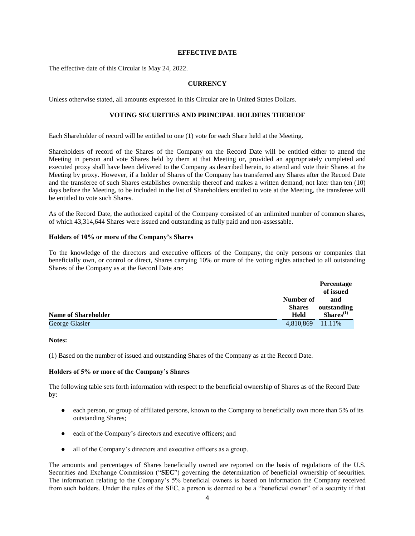# **EFFECTIVE DATE**

The effective date of this Circular is May 24, 2022.

# **CURRENCY**

Unless otherwise stated, all amounts expressed in this Circular are in United States Dollars.

# **VOTING SECURITIES AND PRINCIPAL HOLDERS THEREOF**

Each Shareholder of record will be entitled to one (1) vote for each Share held at the Meeting.

Shareholders of record of the Shares of the Company on the Record Date will be entitled either to attend the Meeting in person and vote Shares held by them at that Meeting or, provided an appropriately completed and executed proxy shall have been delivered to the Company as described herein, to attend and vote their Shares at the Meeting by proxy. However, if a holder of Shares of the Company has transferred any Shares after the Record Date and the transferee of such Shares establishes ownership thereof and makes a written demand, not later than ten (10) days before the Meeting, to be included in the list of Shareholders entitled to vote at the Meeting, the transferee will be entitled to vote such Shares.

As of the Record Date, the authorized capital of the Company consisted of an unlimited number of common shares, of which 43,314,644 Shares were issued and outstanding as fully paid and non-assessable.

#### **Holders of 10% or more of the Company's Shares**

To the knowledge of the directors and executive officers of the Company, the only persons or companies that beneficially own, or control or direct, Shares carrying 10% or more of the voting rights attached to all outstanding Shares of the Company as at the Record Date are:

|                            |               | <b>Percentage</b> |
|----------------------------|---------------|-------------------|
|                            |               | of issued         |
|                            | Number of     | and               |
|                            | <b>Shares</b> | outstanding       |
| <b>Name of Shareholder</b> | <b>Held</b>   | $Shares^{(1)}$    |
| George Glasier             | 4,810,869     | 11.11%            |

#### **Notes:**

(1) Based on the number of issued and outstanding Shares of the Company as at the Record Date.

#### **Holders of 5% or more of the Company's Shares**

The following table sets forth information with respect to the beneficial ownership of Shares as of the Record Date by:

- each person, or group of affiliated persons, known to the Company to beneficially own more than 5% of its outstanding Shares;
- each of the Company's directors and executive officers; and
- all of the Company's directors and executive officers as a group.

The amounts and percentages of Shares beneficially owned are reported on the basis of regulations of the U.S. Securities and Exchange Commission ("**SEC**") governing the determination of beneficial ownership of securities. The information relating to the Company's 5% beneficial owners is based on information the Company received from such holders. Under the rules of the SEC, a person is deemed to be a "beneficial owner" of a security if that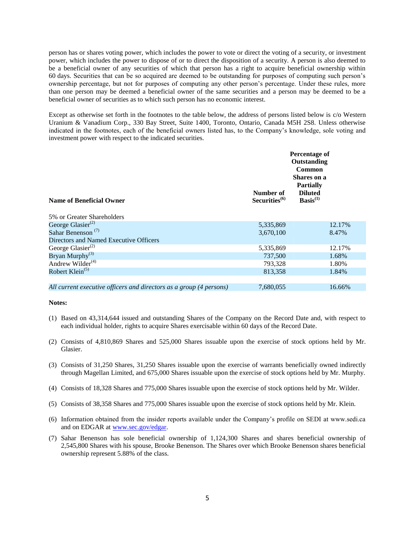person has or shares voting power, which includes the power to vote or direct the voting of a security, or investment power, which includes the power to dispose of or to direct the disposition of a security. A person is also deemed to be a beneficial owner of any securities of which that person has a right to acquire beneficial ownership within 60 days. Securities that can be so acquired are deemed to be outstanding for purposes of computing such person's ownership percentage, but not for purposes of computing any other person's percentage. Under these rules, more than one person may be deemed a beneficial owner of the same securities and a person may be deemed to be a beneficial owner of securities as to which such person has no economic interest.

Except as otherwise set forth in the footnotes to the table below, the address of persons listed below is c/o Western Uranium & Vanadium Corp., 330 Bay Street, Suite 1400, Toronto, Ontario, Canada M5H 2S8. Unless otherwise indicated in the footnotes, each of the beneficial owners listed has, to the Company's knowledge, sole voting and investment power with respect to the indicated securities.

| Percentage of<br>Outstanding<br>Common<br><b>Shares</b> on a<br><b>Partially</b><br>Number of<br><b>Diluted</b><br>Basis <sup>(1)</sup><br>Securities <sup>(6)</sup><br><b>Name of Beneficial Owner</b> |  |
|---------------------------------------------------------------------------------------------------------------------------------------------------------------------------------------------------------|--|
| 5% or Greater Shareholders                                                                                                                                                                              |  |
| George Glasier $^{(2)}$<br>5,335,869<br>12.17%                                                                                                                                                          |  |
| Sahar Benenson <sup>(7)</sup><br>3,670,100<br>8.47%                                                                                                                                                     |  |
| Directors and Named Executive Officers                                                                                                                                                                  |  |
| George Glasier <sup>(2)</sup><br>5,335,869<br>12.17%                                                                                                                                                    |  |
| Bryan Murphy <sup>(3)</sup><br>737,500<br>1.68%                                                                                                                                                         |  |
| Andrew Wilder <sup>(4)</sup><br>793,328<br>1.80%                                                                                                                                                        |  |
| Robert Klein <sup><math>(5)</math></sup><br>813,358<br>1.84%                                                                                                                                            |  |
| 7,680,055<br>16.66%<br>All current executive officers and directors as a group (4 persons)                                                                                                              |  |

#### **Notes:**

- (1) Based on 43,314,644 issued and outstanding Shares of the Company on the Record Date and, with respect to each individual holder, rights to acquire Shares exercisable within 60 days of the Record Date.
- (2) Consists of 4,810,869 Shares and 525,000 Shares issuable upon the exercise of stock options held by Mr. Glasier.
- (3) Consists of 31,250 Shares, 31,250 Shares issuable upon the exercise of warrants beneficially owned indirectly through Magellan Limited, and 675,000 Shares issuable upon the exercise of stock options held by Mr. Murphy.
- (4) Consists of 18,328 Shares and 775,000 Shares issuable upon the exercise of stock options held by Mr. Wilder.
- (5) Consists of 38,358 Shares and 775,000 Shares issuable upon the exercise of stock options held by Mr. Klein.
- (6) Information obtained from the insider reports available under the Company's profile on SEDI at www.sedi.ca and on EDGAR at [www.sec.gov/edgar.](http://www.sec.gov/edgar)
- (7) Sahar Benenson has sole beneficial ownership of 1,124,300 Shares and shares beneficial ownership of 2,545,800 Shares with his spouse, Brooke Benenson. The Shares over which Brooke Benenson shares beneficial ownership represent 5.88% of the class.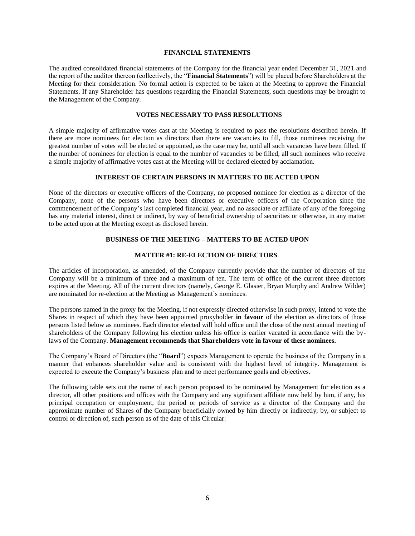# **FINANCIAL STATEMENTS**

The audited consolidated financial statements of the Company for the financial year ended December 31, 2021 and the report of the auditor thereon (collectively, the "**Financial Statements**") will be placed before Shareholders at the Meeting for their consideration. No formal action is expected to be taken at the Meeting to approve the Financial Statements. If any Shareholder has questions regarding the Financial Statements, such questions may be brought to the Management of the Company.

# **VOTES NECESSARY TO PASS RESOLUTIONS**

A simple majority of affirmative votes cast at the Meeting is required to pass the resolutions described herein. If there are more nominees for election as directors than there are vacancies to fill, those nominees receiving the greatest number of votes will be elected or appointed, as the case may be, until all such vacancies have been filled. If the number of nominees for election is equal to the number of vacancies to be filled, all such nominees who receive a simple majority of affirmative votes cast at the Meeting will be declared elected by acclamation.

# **INTEREST OF CERTAIN PERSONS IN MATTERS TO BE ACTED UPON**

None of the directors or executive officers of the Company, no proposed nominee for election as a director of the Company, none of the persons who have been directors or executive officers of the Corporation since the commencement of the Company's last completed financial year, and no associate or affiliate of any of the foregoing has any material interest, direct or indirect, by way of beneficial ownership of securities or otherwise, in any matter to be acted upon at the Meeting except as disclosed herein.

# **BUSINESS OF THE MEETING – MATTERS TO BE ACTED UPON**

# **MATTER #1: RE-ELECTION OF DIRECTORS**

The articles of incorporation, as amended, of the Company currently provide that the number of directors of the Company will be a minimum of three and a maximum of ten. The term of office of the current three directors expires at the Meeting. All of the current directors (namely, George E. Glasier, Bryan Murphy and Andrew Wilder) are nominated for re-election at the Meeting as Management's nominees.

The persons named in the proxy for the Meeting, if not expressly directed otherwise in such proxy, intend to vote the Shares in respect of which they have been appointed proxyholder **in favour** of the election as directors of those persons listed below as nominees. Each director elected will hold office until the close of the next annual meeting of shareholders of the Company following his election unless his office is earlier vacated in accordance with the bylaws of the Company. **Management recommends that Shareholders vote in favour of these nominees.**

The Company's Board of Directors (the "**Board**") expects Management to operate the business of the Company in a manner that enhances shareholder value and is consistent with the highest level of integrity. Management is expected to execute the Company's business plan and to meet performance goals and objectives.

The following table sets out the name of each person proposed to be nominated by Management for election as a director, all other positions and offices with the Company and any significant affiliate now held by him, if any, his principal occupation or employment, the period or periods of service as a director of the Company and the approximate number of Shares of the Company beneficially owned by him directly or indirectly, by, or subject to control or direction of, such person as of the date of this Circular: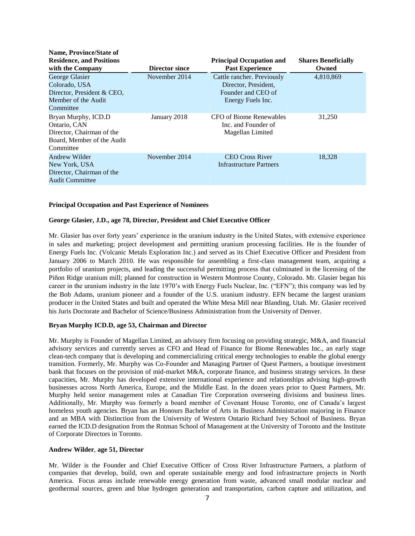| Name, Province/State of         |                |                                 |                            |
|---------------------------------|----------------|---------------------------------|----------------------------|
| <b>Residence, and Positions</b> |                | <b>Principal Occupation and</b> | <b>Shares Beneficially</b> |
| with the Company                | Director since | <b>Past Experience</b>          | Owned                      |
| George Glasier                  | November 2014  | Cattle rancher. Previously      | 4,810,869                  |
| Colorado, USA                   |                | Director, President,            |                            |
| Director, President & CEO,      |                | Founder and CEO of              |                            |
| Member of the Audit             |                | Energy Fuels Inc.               |                            |
| Committee                       |                |                                 |                            |
| Bryan Murphy, ICD.D             | January 2018   | CFO of Biome Renewables         | 31,250                     |
| Ontario, CAN                    |                | Inc. and Founder of             |                            |
| Director, Chairman of the       |                | Magellan Limited                |                            |
| Board, Member of the Audit      |                |                                 |                            |
| Committee                       |                |                                 |                            |
| Andrew Wilder                   | November 2014  | <b>CEO Cross River</b>          | 18,328                     |
| New York, USA                   |                | Infrastructure Partners         |                            |
| Director, Chairman of the       |                |                                 |                            |
| <b>Audit Committee</b>          |                |                                 |                            |

# **Principal Occupation and Past Experience of Nominees**

 $\mathbf{N}$  **Province** 

# **George Glasier, J.D., age 78, Director, President and Chief Executive Officer**

Mr. Glasier has over forty years' experience in the uranium industry in the United States, with extensive experience in sales and marketing; project development and permitting uranium processing facilities. He is the founder of Energy Fuels Inc. (Volcanic Metals Exploration Inc.) and served as its Chief Executive Officer and President from January 2006 to March 2010. He was responsible for assembling a first-class management team, acquiring a portfolio of uranium projects, and leading the successful permitting process that culminated in the licensing of the Piñon Ridge uranium mill; planned for construction in Western Montrose County, Colorado. Mr. Glasier began his career in the uranium industry in the late 1970's with Energy Fuels Nuclear, Inc. ("EFN"); this company was led by the Bob Adams, uranium pioneer and a founder of the U.S. uranium industry. EFN became the largest uranium producer in the United States and built and operated the White Mesa Mill near Blanding, Utah. Mr. Glasier received his Juris Doctorate and Bachelor of Science/Business Administration from the University of Denver.

#### **Bryan Murphy ICD.D, age 53, Chairman and Director**

Mr. Murphy is Founder of Magellan Limited, an advisory firm focusing on providing strategic, M&A, and financial advisory services and currently serves as CFO and Head of Finance for Biome Renewables Inc., an early stage clean-tech company that is developing and commercializing critical energy technologies to enable the global energy transition. Formerly, Mr. Murphy was Co-Founder and Managing Partner of Quest Partners, a boutique investment bank that focuses on the provision of mid-market M&A, corporate finance, and business strategy services. In these capacities, Mr. Murphy has developed extensive international experience and relationships advising high-growth businesses across North America, Europe, and the Middle East. In the dozen years prior to Quest Partners, Mr. Murphy held senior management roles at Canadian Tire Corporation overseeing divisions and business lines. Additionally, Mr. Murphy was formerly a board member of Covenant House Toronto, one of Canada's largest homeless youth agencies. Bryan has an Honours Bachelor of Arts in Business Administration majoring in Finance and an MBA with Distinction from the University of Western Ontario Richard Ivey School of Business. Bryan earned the ICD.D designation from the Rotman School of Management at the University of Toronto and the Institute of Corporate Directors in Toronto.

#### **Andrew Wilder**, **age 51, Director**

Mr. Wilder is the Founder and Chief Executive Officer of Cross River Infrastructure Partners, a platform of companies that develop, build, own and operate sustainable energy and food infrastructure projects in North America. Focus areas include renewable energy generation from waste, advanced small modular nuclear and geothermal sources, green and blue hydrogen generation and transportation, carbon capture and utilization, and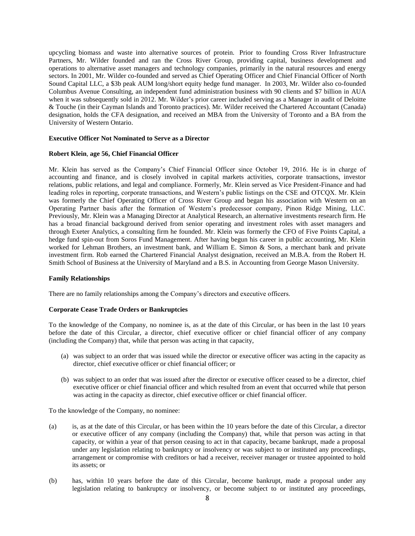upcycling biomass and waste into alternative sources of protein. Prior to founding Cross River Infrastructure Partners, Mr. Wilder founded and ran the Cross River Group, providing capital, business development and operations to alternative asset managers and technology companies, primarily in the natural resources and energy sectors. In 2001, Mr. Wilder co-founded and served as Chief Operating Officer and Chief Financial Officer of North Sound Capital LLC, a \$3b peak AUM long/short equity hedge fund manager. In 2003, Mr. Wilder also co-founded Columbus Avenue Consulting, an independent fund administration business with 90 clients and \$7 billion in AUA when it was subsequently sold in 2012. Mr. Wilder's prior career included serving as a Manager in audit of Deloitte & Touche (in their Cayman Islands and Toronto practices). Mr. Wilder received the Chartered Accountant (Canada) designation, holds the CFA designation, and received an MBA from the University of Toronto and a BA from the University of Western Ontario.

## **Executive Officer Not Nominated to Serve as a Director**

#### **Robert Klein**, **age 56, Chief Financial Officer**

Mr. Klein has served as the Company's Chief Financial Officer since October 19, 2016. He is in charge of accounting and finance, and is closely involved in capital markets activities, corporate transactions, investor relations, public relations, and legal and compliance. Formerly, Mr. Klein served as Vice President-Finance and had leading roles in reporting, corporate transactions, and Western's public listings on the CSE and OTCQX. Mr. Klein was formerly the Chief Operating Officer of Cross River Group and began his association with Western on an Operating Partner basis after the formation of Western's predecessor company, Pinon Ridge Mining, LLC. Previously, Mr. Klein was a Managing Director at Analytical Research, an alternative investments research firm. He has a broad financial background derived from senior operating and investment roles with asset managers and through Exeter Analytics, a consulting firm he founded. Mr. Klein was formerly the CFO of Five Points Capital, a hedge fund spin-out from Soros Fund Management. After having begun his career in public accounting, Mr. Klein worked for Lehman Brothers, an investment bank, and William E. Simon & Sons, a merchant bank and private investment firm. Rob earned the Chartered Financial Analyst designation, received an M.B.A. from the Robert H. Smith School of Business at the University of Maryland and a B.S. in Accounting from George Mason University.

# **Family Relationships**

There are no family relationships among the Company's directors and executive officers.

### **Corporate Cease Trade Orders or Bankruptcies**

To the knowledge of the Company, no nominee is, as at the date of this Circular, or has been in the last 10 years before the date of this Circular, a director, chief executive officer or chief financial officer of any company (including the Company) that, while that person was acting in that capacity,

- (a) was subject to an order that was issued while the director or executive officer was acting in the capacity as director, chief executive officer or chief financial officer; or
- (b) was subject to an order that was issued after the director or executive officer ceased to be a director, chief executive officer or chief financial officer and which resulted from an event that occurred while that person was acting in the capacity as director, chief executive officer or chief financial officer.

To the knowledge of the Company, no nominee:

- (a) is, as at the date of this Circular, or has been within the 10 years before the date of this Circular, a director or executive officer of any company (including the Company) that, while that person was acting in that capacity, or within a year of that person ceasing to act in that capacity, became bankrupt, made a proposal under any legislation relating to bankruptcy or insolvency or was subject to or instituted any proceedings, arrangement or compromise with creditors or had a receiver, receiver manager or trustee appointed to hold its assets; or
- (b) has, within 10 years before the date of this Circular, become bankrupt, made a proposal under any legislation relating to bankruptcy or insolvency, or become subject to or instituted any proceedings,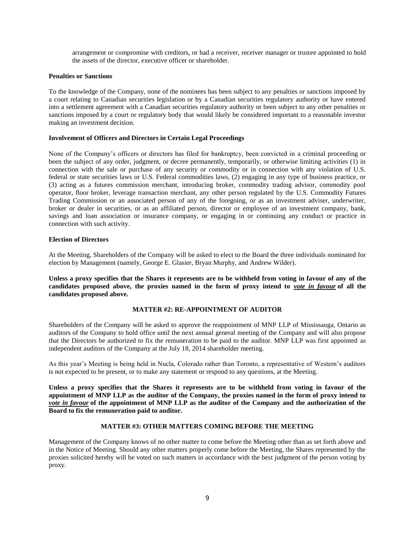arrangement or compromise with creditors, or had a receiver, receiver manager or trustee appointed to hold the assets of the director, executive officer or shareholder.

# **Penalties or Sanctions**

To the knowledge of the Company, none of the nominees has been subject to any penalties or sanctions imposed by a court relating to Canadian securities legislation or by a Canadian securities regulatory authority or have entered into a settlement agreement with a Canadian securities regulatory authority or been subject to any other penalties or sanctions imposed by a court or regulatory body that would likely be considered important to a reasonable investor making an investment decision.

# **Involvement of Officers and Directors in Certain Legal Proceedings**

None of the Company's officers or directors has filed for bankruptcy, been convicted in a criminal proceeding or been the subject of any order, judgment, or decree permanently, temporarily, or otherwise limiting activities (1) in connection with the sale or purchase of any security or commodity or in connection with any violation of U.S. federal or state securities laws or U.S. Federal commodities laws, (2) engaging in any type of business practice, or (3) acting as a futures commission merchant, introducing broker, commodity trading advisor, commodity pool operator, floor broker, leverage transaction merchant, any other person regulated by the U.S. Commodity Futures Trading Commission or an associated person of any of the foregoing, or as an investment adviser, underwriter, broker or dealer in securities, or as an affiliated person, director or employee of an investment company, bank, savings and loan association or insurance company, or engaging in or continuing any conduct or practice in connection with such activity.

# **Election of Directors**

At the Meeting, Shareholders of the Company will be asked to elect to the Board the three individuals nominated for election by Management (namely, George E. Glasier, Bryan Murphy, and Andrew Wilder).

**Unless a proxy specifies that the Shares it represents are to be withheld from voting in favour of any of the candidates proposed above, the proxies named in the form of proxy intend to** *vote in favour* **of all the candidates proposed above.**

# **MATTER #2: RE-APPOINTMENT OF AUDITOR**

Shareholders of the Company will be asked to approve the reappointment of MNP LLP of Mississauga, Ontario as auditors of the Company to hold office until the next annual general meeting of the Company and will also propose that the Directors be authorized to fix the remuneration to be paid to the auditor. MNP LLP was first appointed as independent auditors of the Company at the July 18, 2014 shareholder meeting.

As this year's Meeting is being held in Nucla, Colorado rather than Toronto, a representative of Western's auditors is not expected to be present, or to make any statement or respond to any questions, at the Meeting.

**Unless a proxy specifies that the Shares it represents are to be withheld from voting in favour of the appointment of MNP LLP as the auditor of the Company, the proxies named in the form of proxy intend to**  *vote in favour* **of the appointment of MNP LLP as the auditor of the Company and the authorization of the Board to fix the remuneration paid to auditor.**

# **MATTER #3: OTHER MATTERS COMING BEFORE THE MEETING**

Management of the Company knows of no other matter to come before the Meeting other than as set forth above and in the Notice of Meeting. Should any other matters properly come before the Meeting, the Shares represented by the proxies solicited hereby will be voted on such matters in accordance with the best judgment of the person voting by proxy.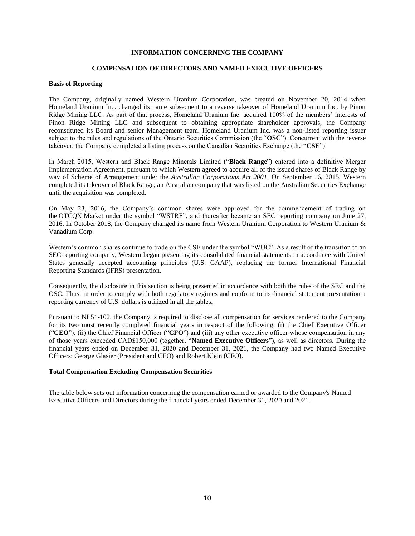# **INFORMATION CONCERNING THE COMPANY**

#### **COMPENSATION OF DIRECTORS AND NAMED EXECUTIVE OFFICERS**

#### **Basis of Reporting**

The Company, originally named Western Uranium Corporation, was created on November 20, 2014 when Homeland Uranium Inc. changed its name subsequent to a reverse takeover of Homeland Uranium Inc. by Pinon Ridge Mining LLC. As part of that process, Homeland Uranium Inc. acquired 100% of the members' interests of Pinon Ridge Mining LLC and subsequent to obtaining appropriate shareholder approvals, the Company reconstituted its Board and senior Management team. Homeland Uranium Inc. was a non-listed reporting issuer subject to the rules and regulations of the Ontario Securities Commission (the "**OSC**"). Concurrent with the reverse takeover, the Company completed a listing process on the Canadian Securities Exchange (the "**CSE**").

In March 2015, Western and Black Range Minerals Limited ("**Black Range**") entered into a definitive Merger Implementation Agreement, pursuant to which Western agreed to acquire all of the issued shares of Black Range by way of Scheme of Arrangement under the *Australian Corporations Act 2001*. On September 16, 2015, Western completed its takeover of Black Range, an Australian company that was listed on the Australian Securities Exchange until the acquisition was completed.

On May 23, 2016, the Company's common shares were approved for the commencement of trading on the OTCQX Market under the symbol "WSTRF", and thereafter became an SEC reporting company on June 27, 2016. In October 2018, the Company changed its name from Western Uranium Corporation to Western Uranium & Vanadium Corp.

Western's common shares continue to trade on the CSE under the symbol "WUC". As a result of the transition to an SEC reporting company, Western began presenting its consolidated financial statements in accordance with United States generally accepted accounting principles (U.S. GAAP), replacing the former International Financial Reporting Standards (IFRS) presentation.

Consequently, the disclosure in this section is being presented in accordance with both the rules of the SEC and the OSC. Thus, in order to comply with both regulatory regimes and conform to its financial statement presentation a reporting currency of U.S. dollars is utilized in all the tables.

Pursuant to NI 51-102, the Company is required to disclose all compensation for services rendered to the Company for its two most recently completed financial years in respect of the following: (i) the Chief Executive Officer ("**CEO**"), (ii) the Chief Financial Officer ("**CFO**") and (iii) any other executive officer whose compensation in any of those years exceeded CAD\$150,000 (together, "**Named Executive Officers**"), as well as directors. During the financial years ended on December 31, 2020 and December 31, 2021, the Company had two Named Executive Officers: George Glasier (President and CEO) and Robert Klein (CFO).

# **Total Compensation Excluding Compensation Securities**

The table below sets out information concerning the compensation earned or awarded to the Company's Named Executive Officers and Directors during the financial years ended December 31, 2020 and 2021.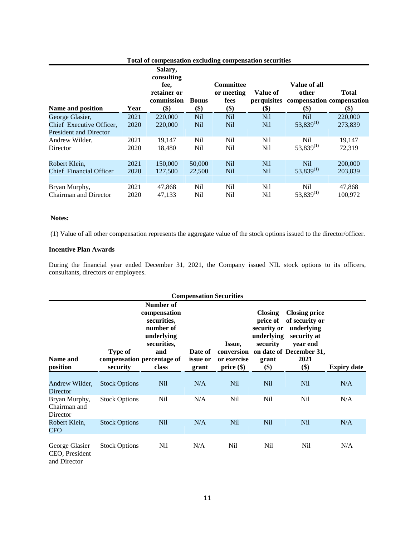|                                                           | Total of compensation excluding compensation securities |                                                                   |                     |                                               |                                |                                                    |                                           |
|-----------------------------------------------------------|---------------------------------------------------------|-------------------------------------------------------------------|---------------------|-----------------------------------------------|--------------------------------|----------------------------------------------------|-------------------------------------------|
| Name and position                                         | Year                                                    | Salary,<br>consulting<br>fee,<br>retainer or<br>commission<br>\$) | <b>Bonus</b><br>\$) | <b>Committee</b><br>or meeting<br>fees<br>\$) | Value of<br>perquisites<br>\$) | Value of all<br>other<br>$\left( \text{\$}\right)$ | Total<br>compensation compensation<br>\$) |
| George Glasier,                                           | 2021                                                    | 220,000                                                           | N <sub>il</sub>     | <b>Nil</b>                                    | <b>Nil</b>                     | <b>Nil</b>                                         | 220,000                                   |
| Chief Executive Officer,<br><b>President and Director</b> | 2020                                                    | 220,000                                                           | N <sub>il</sub>     | <b>Nil</b>                                    | <b>Nil</b>                     | $53,839^{(1)}$                                     | 273,839                                   |
| Andrew Wilder,                                            | 2021                                                    | 19,147                                                            | N <sub>il</sub>     | N <sub>il</sub>                               | N <sub>il</sub>                | N <sub>il</sub>                                    | 19,147                                    |
| Director                                                  | 2020                                                    | 18,480                                                            | Nil                 | Nil                                           | Nil                            | $53,839^{(1)}$                                     | 72,319                                    |
| Robert Klein,                                             | 2021                                                    | 150,000                                                           | 50,000              | <b>Nil</b>                                    | N <sub>il</sub>                | N <sub>il</sub>                                    | 200,000                                   |
| Chief Financial Officer                                   | 2020                                                    | 127,500                                                           | 22,500              | <b>Nil</b>                                    | <b>Nil</b>                     | $53,839^{(1)}$                                     | 203,839                                   |
| Bryan Murphy,                                             | 2021                                                    | 47,868                                                            | N <sub>il</sub>     | N <sub>il</sub>                               | N <sub>il</sub>                | N <sub>il</sub>                                    | 47,868                                    |
| <b>Chairman and Director</b>                              | 2020                                                    | 47,133                                                            | Nil                 | Nil                                           | Nil                            | $53,839^{(1)}$                                     | 100,972                                   |

#### **Notes:**

(1) Value of all other compensation represents the aggregate value of the stock options issued to the director/officer.

# **Incentive Plan Awards**

During the financial year ended December 31, 2021, the Company issued NIL stock options to its officers, consultants, directors or employees.

|                                                  |                            |                                                                                                                                  |                                     | <b>Compensation Securities</b>      |                                                                                     |                                                                                                                                      |                    |
|--------------------------------------------------|----------------------------|----------------------------------------------------------------------------------------------------------------------------------|-------------------------------------|-------------------------------------|-------------------------------------------------------------------------------------|--------------------------------------------------------------------------------------------------------------------------------------|--------------------|
| Name and<br>position                             | <b>Type of</b><br>security | Number of<br>compensation<br>securities,<br>number of<br>underlying<br>securities,<br>and<br>compensation percentage of<br>class | Date of<br><i>issue</i> or<br>grant | Issue,<br>or exercise<br>price (\$) | <b>Closing</b><br>price of<br>security or<br>underlying<br>security<br>grant<br>\$) | <b>Closing price</b><br>of security or<br>underlying<br>security at<br>vear end<br>conversion on date of December 31,<br>2021<br>\$) | <b>Expiry date</b> |
| Andrew Wilder,<br>Director                       | <b>Stock Options</b>       | N <sub>il</sub>                                                                                                                  | N/A                                 | N <sub>il</sub>                     | N <sub>il</sub>                                                                     | N <sub>il</sub>                                                                                                                      | N/A                |
| Bryan Murphy,<br>Chairman and<br>Director        | <b>Stock Options</b>       | Nil                                                                                                                              | N/A                                 | Nil                                 | N <sub>il</sub>                                                                     | N <sub>il</sub>                                                                                                                      | N/A                |
| Robert Klein,<br>CFO                             | <b>Stock Options</b>       | N <sub>il</sub>                                                                                                                  | N/A                                 | N <sub>il</sub>                     | N <sub>il</sub>                                                                     | N <sub>il</sub>                                                                                                                      | N/A                |
| George Glasier<br>CEO, President<br>and Director | <b>Stock Options</b>       | Nil                                                                                                                              | N/A                                 | N <sub>il</sub>                     | N <sub>il</sub>                                                                     | Nil                                                                                                                                  | N/A                |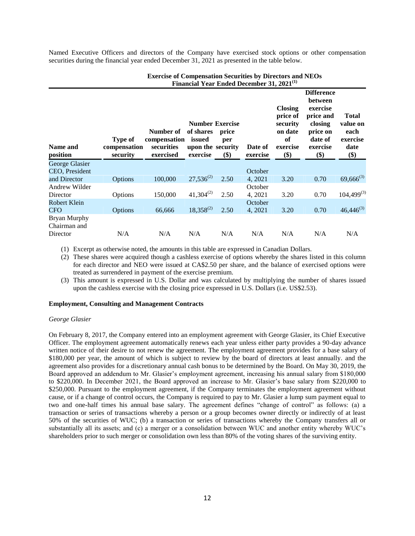Named Executive Officers and directors of the Company have exercised stock options or other compensation securities during the financial year ended December 31, 2021 as presented in the table below.

| <b>Name and</b><br>position                     | Type of<br>compensation<br>security | Number of<br>compensation<br>securities<br>exercised | <b>Number Exercise</b><br>of shares<br>issued<br>upon the security<br>exercise | price<br>per<br>$($)$ | Date of<br>exercise | <b>Closing</b><br>price of<br>security<br>on date<br>of<br>exercise<br>\$) | <b>Difference</b><br>between<br>exercise<br>price and<br>closing<br>price on<br>date of<br>exercise<br>\$) | <b>Total</b><br>value on<br>each<br>exercise<br>date<br>\$) |
|-------------------------------------------------|-------------------------------------|------------------------------------------------------|--------------------------------------------------------------------------------|-----------------------|---------------------|----------------------------------------------------------------------------|------------------------------------------------------------------------------------------------------------|-------------------------------------------------------------|
| George Glasier<br>CEO, President                |                                     |                                                      |                                                                                |                       | October             |                                                                            |                                                                                                            |                                                             |
| and Director                                    | Options                             | 100,000                                              | $27,536^{(2)}$                                                                 | 2.50                  | 4, 2021             | 3.20                                                                       | 0.70                                                                                                       | $69,666^{(3)}$                                              |
| Andrew Wilder                                   |                                     |                                                      |                                                                                |                       | October             |                                                                            |                                                                                                            |                                                             |
| Director                                        | Options                             | 150,000                                              | $41,304^{(2)}$                                                                 | 2.50                  | 4, 2021             | 3.20                                                                       | 0.70                                                                                                       | $104,499^{(3)}$                                             |
| Robert Klein<br><b>CFO</b>                      | Options                             | 66,666                                               | $18,358^{(2)}$                                                                 | 2.50                  | October<br>4, 2021  | 3.20                                                                       | 0.70                                                                                                       | $46,446^{(3)}$                                              |
| <b>Bryan Murphy</b><br>Chairman and<br>Director | N/A                                 | N/A                                                  | N/A                                                                            | N/A                   | N/A                 | N/A                                                                        | N/A                                                                                                        | N/A                                                         |

# **Exercise of Compensation Securities by Directors and NEOs Financial Year Ended December 31, 2021(1)**

(1) Excerpt as otherwise noted, the amounts in this table are expressed in Canadian Dollars.

(2) These shares were acquired though a cashless exercise of options whereby the shares listed in this column for each director and NEO were issued at CA\$2.50 per share, and the balance of exercised options were treated as surrendered in payment of the exercise premium.

(3) This amount is expressed in U.S. Dollar and was calculated by multiplying the number of shares issued upon the cashless exercise with the closing price expressed in U.S. Dollars (i.e. US\$2.53).

# **Employment, Consulting and Management Contracts**

# *George Glasier*

On February 8, 2017, the Company entered into an employment agreement with George Glasier, its Chief Executive Officer. The employment agreement automatically renews each year unless either party provides a 90-day advance written notice of their desire to not renew the agreement. The employment agreement provides for a base salary of \$180,000 per year, the amount of which is subject to review by the board of directors at least annually. and the agreement also provides for a discretionary annual cash bonus to be determined by the Board. On May 30, 2019, the Board approved an addendum to Mr. Glasier's employment agreement, increasing his annual salary from \$180,000 to \$220,000. In December 2021, the Board approved an increase to Mr. Glasier's base salary from \$220,000 to \$250,000. Pursuant to the employment agreement, if the Company terminates the employment agreement without cause, or if a change of control occurs, the Company is required to pay to Mr. Glasier a lump sum payment equal to two and one-half times his annual base salary. The agreement defines "change of control" as follows: (a) a transaction or series of transactions whereby a person or a group becomes owner directly or indirectly of at least 50% of the securities of WUC; (b) a transaction or series of transactions whereby the Company transfers all or substantially all its assets; and (c) a merger or a consolidation between WUC and another entity whereby WUC's shareholders prior to such merger or consolidation own less than 80% of the voting shares of the surviving entity.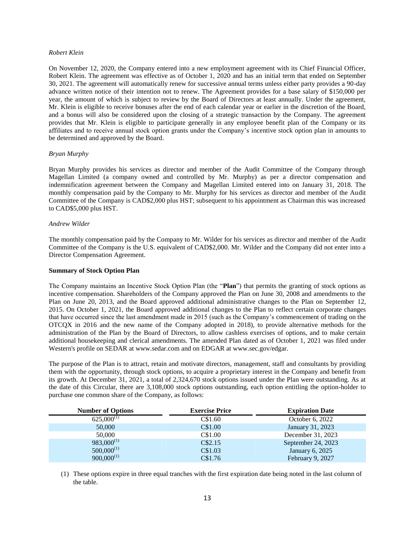# *Robert Klein*

On November 12, 2020, the Company entered into a new employment agreement with its Chief Financial Officer, Robert Klein. The agreement was effective as of October 1, 2020 and has an initial term that ended on September 30, 2021. The agreement will automatically renew for successive annual terms unless either party provides a 90-day advance written notice of their intention not to renew. The Agreement provides for a base salary of \$150,000 per year, the amount of which is subject to review by the Board of Directors at least annually. Under the agreement, Mr. Klein is eligible to receive bonuses after the end of each calendar year or earlier in the discretion of the Board, and a bonus will also be considered upon the closing of a strategic transaction by the Company. The agreement provides that Mr. Klein is eligible to participate generally in any employee benefit plan of the Company or its affiliates and to receive annual stock option grants under the Company's incentive stock option plan in amounts to be determined and approved by the Board.

# *Bryan Murphy*

Bryan Murphy provides his services as director and member of the Audit Committee of the Company through Magellan Limited (a company owned and controlled by Mr. Murphy) as per a director compensation and indemnification agreement between the Company and Magellan Limited entered into on January 31, 2018. The monthly compensation paid by the Company to Mr. Murphy for his services as director and member of the Audit Committee of the Company is CAD\$2,000 plus HST; subsequent to his appointment as Chairman this was increased to CAD\$5,000 plus HST.

# *Andrew Wilder*

The monthly compensation paid by the Company to Mr. Wilder for his services as director and member of the Audit Committee of the Company is the U.S. equivalent of CAD\$2,000. Mr. Wilder and the Company did not enter into a Director Compensation Agreement.

### **Summary of Stock Option Plan**

The Company maintains an Incentive Stock Option Plan (the "**Plan**") that permits the granting of stock options as incentive compensation. Shareholders of the Company approved the Plan on June 30, 2008 and amendments to the Plan on June 20, 2013, and the Board approved additional administrative changes to the Plan on September 12, 2015. On October 1, 2021, the Board approved additional changes to the Plan to reflect certain corporate changes that have occurred since the last amendment made in 2015 (such as the Company's commencement of trading on the OTCQX in 2016 and the new name of the Company adopted in 2018), to provide alternative methods for the administration of the Plan by the Board of Directors, to allow cashless exercises of options, and to make certain additional housekeeping and clerical amendments. The amended Plan dated as of October 1, 2021 was filed under Western's profile on SEDAR at www.sedar.com and on EDGAR at www.sec.gov/edgar.

The purpose of the Plan is to attract, retain and motivate directors, management, staff and consultants by providing them with the opportunity, through stock options, to acquire a proprietary interest in the Company and benefit from its growth. At December 31, 2021, a total of 2,324,670 stock options issued under the Plan were outstanding. As at the date of this Circular, there are 3,108,000 stock options outstanding, each option entitling the option-holder to purchase one common share of the Company, as follows:

| <b>Number of Options</b> | <b>Exercise Price</b> | <b>Expiration Date</b> |
|--------------------------|-----------------------|------------------------|
| $625,000^{(1)}$          | C\$1.60               | October 6, 2022        |
| 50,000                   | C\$1.00               | January 31, 2023       |
| 50,000                   | C\$1.00               | December 31, 2023      |
| $983,000^{(1)}$          | C\$2.15               | September 24, 2023     |
| $500,000^{(1)}$          | C\$1.03               | January 6, 2025        |
| $900,000^{(1)}$          | C\$1.76               | February 9, 2027       |

(1) These options expire in three equal tranches with the first expiration date being noted in the last column of the table.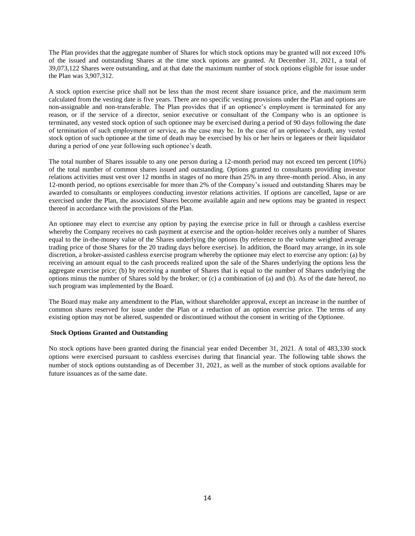The Plan provides that the aggregate number of Shares for which stock options may be granted will not exceed 10% of the issued and outstanding Shares at the time stock options are granted. At December 31, 2021, a total of 39,073,122 Shares were outstanding, and at that date the maximum number of stock options eligible for issue under the Plan was 3,907,312.

A stock option exercise price shall not be less than the most recent share issuance price, and the maximum term calculated from the vesting date is five years. There are no specific vesting provisions under the Plan and options are non-assignable and non-transferable. The Plan provides that if an optionee's employment is terminated for any reason, or if the service of a director, senior executive or consultant of the Company who is an optionee is terminated, any vested stock option of such optionee may be exercised during a period of 90 days following the date of termination of such employment or service, as the case may be. In the case of an optionee's death, any vested stock option of such optionee at the time of death may be exercised by his or her heirs or legatees or their liquidator during a period of one year following such optionee's death.

The total number of Shares issuable to any one person during a 12-month period may not exceed ten percent (10%) of the total number of common shares issued and outstanding. Options granted to consultants providing investor relations activities must vest over 12 months in stages of no more than 25% in any three-month period. Also, in any 12-month period, no options exercisable for more than 2% of the Company's issued and outstanding Shares may be awarded to consultants or employees conducting investor relations activities. If options are cancelled, lapse or are exercised under the Plan, the associated Shares become available again and new options may be granted in respect thereof in accordance with the provisions of the Plan.

An optionee may elect to exercise any option by paying the exercise price in full or through a cashless exercise whereby the Company receives no cash payment at exercise and the option-holder receives only a number of Shares equal to the in-the-money value of the Shares underlying the options (by reference to the volume weighted average trading price of those Shares for the 20 trading days before exercise). In addition, the Board may arrange, in its sole discretion, a broker-assisted cashless exercise program whereby the optionee may elect to exercise any option: (a) by receiving an amount equal to the cash proceeds realized upon the sale of the Shares underlying the options less the aggregate exercise price; (b) by receiving a number of Shares that is equal to the number of Shares underlying the options minus the number of Shares sold by the broker; or (c) a combination of (a) and (b). As of the date hereof, no such program was implemented by the Board.

The Board may make any amendment to the Plan, without shareholder approval, except an increase in the number of common shares reserved for issue under the Plan or a reduction of an option exercise price. The terms of any existing option may not be altered, suspended or discontinued without the consent in writing of the Optionee.

# **Stock Options Granted and Outstanding**

No stock options have been granted during the financial year ended December 31, 2021. A total of 483,330 stock options were exercised pursuant to cashless exercises during that financial year. The following table shows the number of stock options outstanding as of December 31, 2021, as well as the number of stock options available for future issuances as of the same date.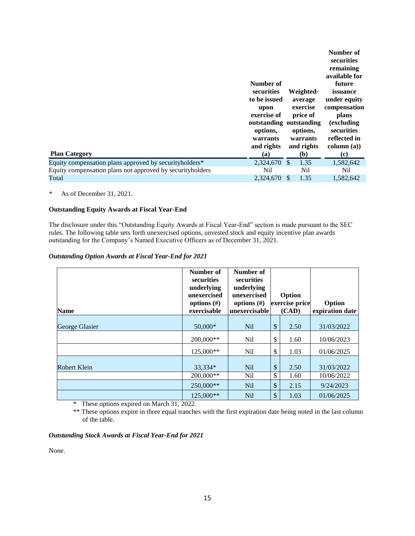| <b>Plan Category</b>                                       | Number of<br>securities<br>to be issued<br>upon<br>exercise of<br>outstanding outstanding<br>options,<br>warrants<br>and rights<br>(a) |               | Weighted-<br>average<br>exercise<br>price of<br>options,<br>warrants<br>and rights<br>(b) | Number of<br>securities<br>remaining<br>available for<br>future<br>issuance<br>under equity<br>compensation<br>plans<br><i>(excluding)</i><br>securities<br>reflected in<br>column (a))<br>$\left( \mathbf{c} \right)$ |
|------------------------------------------------------------|----------------------------------------------------------------------------------------------------------------------------------------|---------------|-------------------------------------------------------------------------------------------|------------------------------------------------------------------------------------------------------------------------------------------------------------------------------------------------------------------------|
| Equity compensation plans approved by securityholders*     | 2,324,670                                                                                                                              | <sup>\$</sup> | 1.35                                                                                      | 1,582,642                                                                                                                                                                                                              |
| Equity compensation plans not approved by security holders | Nil                                                                                                                                    |               | Nil                                                                                       | Nil                                                                                                                                                                                                                    |
| Total                                                      | 2,324,670                                                                                                                              | -S            | 1.35                                                                                      | 1,582,642                                                                                                                                                                                                              |

# \* As of December 31, 2021.

# **Outstanding Equity Awards at Fiscal Year-End**

The disclosure under this "Outstanding Equity Awards at Fiscal Year-End" section is made pursuant to the SEC rules. The following table sets forth unexercised options, unvested stock and equity incentive plan awards outstanding for the Company's Named Executive Officers as of December 31, 2021.

# *Outstanding Option Awards at Fiscal Year-End for 2021*

| <b>Name</b>    | Number of<br><b>securities</b><br>underlying<br>unexercised<br>options $(\#)$<br>exercisable | Number of<br>securities<br>underlying<br>unexercised<br>options $(\#)$<br>unexercisable |      | Option<br>exercise price<br>(CAD) | Option<br>expiration date |
|----------------|----------------------------------------------------------------------------------------------|-----------------------------------------------------------------------------------------|------|-----------------------------------|---------------------------|
| George Glasier | $50,000*$                                                                                    | <b>Nil</b>                                                                              | $\$$ | 2.50                              | 31/03/2022                |
|                | 200,000**                                                                                    | Nil                                                                                     | \$   | 1.60                              | 10/06/2023                |
|                | 125,000**                                                                                    | N <sub>il</sub>                                                                         | \$   | 1.03                              | 01/06/2025                |
| Robert Klein   | 33,334*                                                                                      | N <sub>il</sub>                                                                         | \$   | 2.50                              | 31/03/2022                |
|                | 200,000**                                                                                    | Nil                                                                                     | \$   | 1.60                              | 10/06/2022                |
|                | 250,000**                                                                                    | <b>Nil</b>                                                                              | \$   | 2.15                              | 9/24/2023                 |
|                | 125,000**                                                                                    | Nil                                                                                     | \$   | 1.03                              | 01/06/2025                |

\* These options expired on March 31, 2022.

\*\* These options expire in three equal tranches with the first expiration date being noted in the last column of the table.

# *Outstanding Stock Awards at Fiscal Year-End for 2021*

None.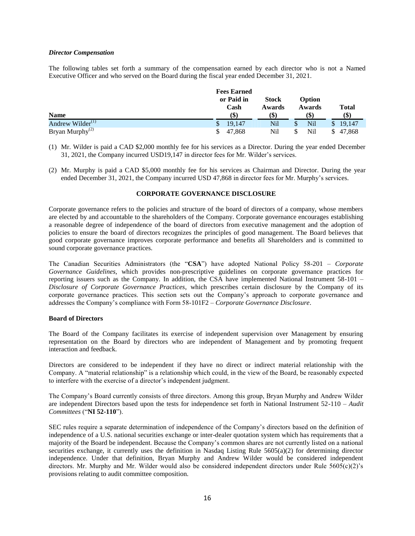#### *Director Compensation*

The following tables set forth a summary of the compensation earned by each director who is not a Named Executive Officer and who served on the Board during the fiscal year ended December 31, 2021.

|                              | <b>Fees Earned</b> |                        |                  |                           |
|------------------------------|--------------------|------------------------|------------------|---------------------------|
|                              | or Paid in<br>Cash | <b>Stock</b><br>Awards | Option<br>Awards | <b>Total</b>              |
| <b>Name</b>                  | (\$)               | (S)                    | (\$`             | $\left( \text{\$}\right)$ |
| Andrew Wilder <sup>(1)</sup> | 19,147             | Nil                    | Nil              | 19,147<br>$\mathbb{S}$    |
| Bryan Murphy <sup>(2)</sup>  | 47.868             | Nil                    | Nil              | 47,868                    |

(1) Mr. Wilder is paid a CAD \$2,000 monthly fee for his services as a Director. During the year ended December 31, 2021, the Company incurred USD19,147 in director fees for Mr. Wilder's services.

(2) Mr. Murphy is paid a CAD \$5,000 monthly fee for his services as Chairman and Director. During the year ended December 31, 2021, the Company incurred USD 47,868 in director fees for Mr. Murphy's services.

# **CORPORATE GOVERNANCE DISCLOSURE**

Corporate governance refers to the policies and structure of the board of directors of a company, whose members are elected by and accountable to the shareholders of the Company. Corporate governance encourages establishing a reasonable degree of independence of the board of directors from executive management and the adoption of policies to ensure the board of directors recognizes the principles of good management. The Board believes that good corporate governance improves corporate performance and benefits all Shareholders and is committed to sound corporate governance practices.

The Canadian Securities Administrators (the "**CSA**") have adopted National Policy 58-201 – *Corporate Governance Guidelines*, which provides non-prescriptive guidelines on corporate governance practices for reporting issuers such as the Company. In addition, the CSA have implemented National Instrument 58-101 – *Disclosure of Corporate Governance Practices*, which prescribes certain disclosure by the Company of its corporate governance practices. This section sets out the Company's approach to corporate governance and addresses the Company's compliance with Form 58-101F2 – *Corporate Governance Disclosure*.

# **Board of Directors**

The Board of the Company facilitates its exercise of independent supervision over Management by ensuring representation on the Board by directors who are independent of Management and by promoting frequent interaction and feedback.

Directors are considered to be independent if they have no direct or indirect material relationship with the Company. A "material relationship" is a relationship which could, in the view of the Board, be reasonably expected to interfere with the exercise of a director's independent judgment.

The Company's Board currently consists of three directors. Among this group, Bryan Murphy and Andrew Wilder are independent Directors based upon the tests for independence set forth in National Instrument 52-110 – *Audit Committees* ("**NI 52-110**").

SEC rules require a separate determination of independence of the Company's directors based on the definition of independence of a U.S. national securities exchange or inter-dealer quotation system which has requirements that a majority of the Board be independent. Because the Company's common shares are not currently listed on a national securities exchange, it currently uses the definition in Nasdaq Listing Rule 5605(a)(2) for determining director independence. Under that definition, Bryan Murphy and Andrew Wilder would be considered independent directors. Mr. Murphy and Mr. Wilder would also be considered independent directors under Rule  $5605(c)(2)$ 's provisions relating to audit committee composition.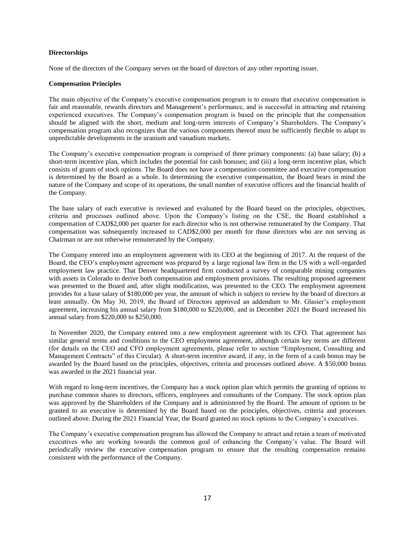# **Directorships**

None of the directors of the Company serves on the board of directors of any other reporting issuer.

# **Compensation Principles**

The main objective of the Company's executive compensation program is to ensure that executive compensation is fair and reasonable, rewards directors and Management's performance, and is successful in attracting and retaining experienced executives. The Company's compensation program is based on the principle that the compensation should be aligned with the short, medium and long-term interests of Company's Shareholders. The Company's compensation program also recognizes that the various components thereof must be sufficiently flexible to adapt to unpredictable developments in the uranium and vanadium markets.

The Company's executive compensation program is comprised of three primary components: (a) base salary; (b) a short-term incentive plan, which includes the potential for cash bonuses; and (iii) a long-term incentive plan, which consists of grants of stock options. The Board does not have a compensation committee and executive compensation is determined by the Board as a whole. In determining the executive compensation, the Board bears in mind the nature of the Company and scope of its operations, the small number of executive officers and the financial health of the Company.

The base salary of each executive is reviewed and evaluated by the Board based on the principles, objectives, criteria and processes outlined above. Upon the Company's listing on the CSE, the Board established a compensation of CAD\$2,000 per quarter for each director who is not otherwise remunerated by the Company. That compensation was subsequently increased to CAD\$2,000 per month for those directors who are not serving as Chairman or are not otherwise remunerated by the Company.

The Company entered into an employment agreement with its CEO at the beginning of 2017. At the request of the Board, the CEO's employment agreement was prepared by a large regional law firm in the US with a well-regarded employment law practice. That Denver headquartered firm conducted a survey of comparable mining companies with assets in Colorado to derive both compensation and employment provisions. The resulting proposed agreement was presented to the Board and, after slight modification, was presented to the CEO. The employment agreement provides for a base salary of \$180,000 per year, the amount of which is subject to review by the board of directors at least annually. On May 30, 2019, the Board of Directors approved an addendum to Mr. Glasier's employment agreement, increasing his annual salary from \$180,000 to \$220,000, and in December 2021 the Board increased his annual salary from \$220,000 to \$250,000.

In November 2020, the Company entered into a new employment agreement with its CFO. That agreement has similar general terms and conditions to the CEO employment agreement, although certain key terms are different (for details on the CEO and CFO employment agreements, please refer to section "Employment, Consulting and Management Contracts" of this Circular). A short-term incentive award, if any, in the form of a cash bonus may be awarded by the Board based on the principles, objectives, criteria and processes outlined above. A \$50,000 bonus was awarded in the 2021 financial year.

With regard to long-term incentives, the Company has a stock option plan which permits the granting of options to purchase common shares to directors, officers, employees and consultants of the Company. The stock option plan was approved by the Shareholders of the Company and is administered by the Board. The amount of options to be granted to an executive is determined by the Board based on the principles, objectives, criteria and processes outlined above. During the 2021 Financial Year, the Board granted no stock options to the Company's executives.

The Company's executive compensation program has allowed the Company to attract and retain a team of motivated executives who are working towards the common goal of enhancing the Company's value. The Board will periodically review the executive compensation program to ensure that the resulting compensation remains consistent with the performance of the Company.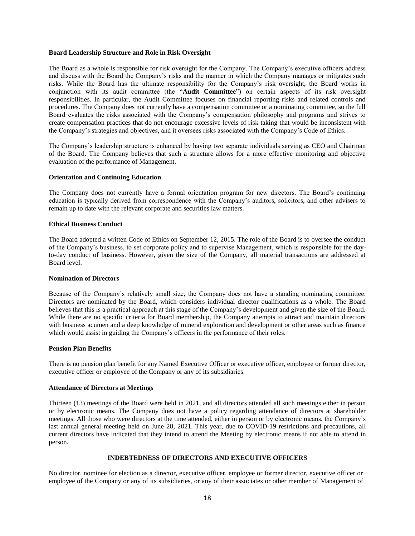# **Board Leadership Structure and Role in Risk Oversight**

The Board as a whole is responsible for risk oversight for the Company. The Company's executive officers address and discuss with the Board the Company's risks and the manner in which the Company manages or mitigates such risks. While the Board has the ultimate responsibility for the Company's risk oversight, the Board works in conjunction with its audit committee (the "**Audit Committee**") on certain aspects of its risk oversight responsibilities. In particular, the Audit Committee focuses on financial reporting risks and related controls and procedures. The Company does not currently have a compensation committee or a nominating committee, so the full Board evaluates the risks associated with the Company's compensation philosophy and programs and strives to create compensation practices that do not encourage excessive levels of risk taking that would be inconsistent with the Company's strategies and objectives, and it oversees risks associated with the Company's Code of Ethics.

The Company's leadership structure is enhanced by having two separate individuals serving as CEO and Chairman of the Board. The Company believes that such a structure allows for a more effective monitoring and objective evaluation of the performance of Management.

#### **Orientation and Continuing Education**

The Company does not currently have a formal orientation program for new directors. The Board's continuing education is typically derived from correspondence with the Company's auditors, solicitors, and other advisers to remain up to date with the relevant corporate and securities law matters.

# **Ethical Business Conduct**

The Board adopted a written Code of Ethics on September 12, 2015. The role of the Board is to oversee the conduct of the Company's business, to set corporate policy and to supervise Management, which is responsible for the dayto-day conduct of business. However, given the size of the Company, all material transactions are addressed at Board level.

# **Nomination of Directors**

Because of the Company's relatively small size, the Company does not have a standing nominating committee. Directors are nominated by the Board, which considers individual director qualifications as a whole. The Board believes that this is a practical approach at this stage of the Company's development and given the size of the Board. While there are no specific criteria for Board membership, the Company attempts to attract and maintain directors with business acumen and a deep knowledge of mineral exploration and development or other areas such as finance which would assist in guiding the Company's officers in the performance of their roles.

#### **Pension Plan Benefits**

There is no pension plan benefit for any Named Executive Officer or executive officer, employee or former director, executive officer or employee of the Company or any of its subsidiaries.

#### **Attendance of Directors at Meetings**

Thirteen (13) meetings of the Board were held in 2021, and all directors attended all such meetings either in person or by electronic means. The Company does not have a policy regarding attendance of directors at shareholder meetings. All those who were directors at the time attended, either in person or by electronic means, the Company's last annual general meeting held on June 28, 2021. This year, due to COVID-19 restrictions and precautions, all current directors have indicated that they intend to attend the Meeting by electronic means if not able to attend in person.

# **INDEBTEDNESS OF DIRECTORS AND EXECUTIVE OFFICERS**

No director, nominee for election as a director, executive officer, employee or former director, executive officer or employee of the Company or any of its subsidiaries, or any of their associates or other member of Management of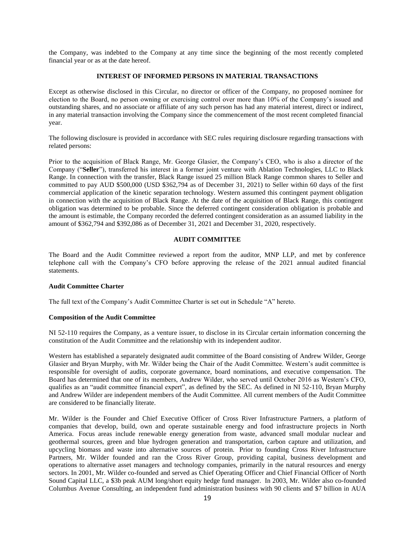the Company, was indebted to the Company at any time since the beginning of the most recently completed financial year or as at the date hereof.

# **INTEREST OF INFORMED PERSONS IN MATERIAL TRANSACTIONS**

Except as otherwise disclosed in this Circular, no director or officer of the Company, no proposed nominee for election to the Board, no person owning or exercising control over more than 10% of the Company's issued and outstanding shares, and no associate or affiliate of any such person has had any material interest, direct or indirect, in any material transaction involving the Company since the commencement of the most recent completed financial year.

The following disclosure is provided in accordance with SEC rules requiring disclosure regarding transactions with related persons:

Prior to the acquisition of Black Range, Mr. George Glasier, the Company's CEO, who is also a director of the Company ("**Seller**"), transferred his interest in a former joint venture with Ablation Technologies, LLC to Black Range. In connection with the transfer, Black Range issued 25 million Black Range common shares to Seller and committed to pay AUD \$500,000 (USD \$362,794 as of December 31, 2021) to Seller within 60 days of the first commercial application of the kinetic separation technology. Western assumed this contingent payment obligation in connection with the acquisition of Black Range. At the date of the acquisition of Black Range, this contingent obligation was determined to be probable. Since the deferred contingent consideration obligation is probable and the amount is estimable, the Company recorded the deferred contingent consideration as an assumed liability in the amount of \$362,794 and \$392,086 as of December 31, 2021 and December 31, 2020, respectively.

# **AUDIT COMMITTEE**

The Board and the Audit Committee reviewed a report from the auditor, MNP LLP, and met by conference telephone call with the Company's CFO before approving the release of the 2021 annual audited financial statements.

# **Audit Committee Charter**

The full text of the Company's Audit Committee Charter is set out in Schedule "A" hereto.

#### **Composition of the Audit Committee**

NI 52-110 requires the Company, as a venture issuer, to disclose in its Circular certain information concerning the constitution of the Audit Committee and the relationship with its independent auditor.

Western has established a separately designated audit committee of the Board consisting of Andrew Wilder, George Glasier and Bryan Murphy, with Mr. Wilder being the Chair of the Audit Committee. Western's audit committee is responsible for oversight of audits, corporate governance, board nominations, and executive compensation. The Board has determined that one of its members, Andrew Wilder, who served until October 2016 as Western's CFO, qualifies as an "audit committee financial expert", as defined by the SEC. As defined in NI 52-110, Bryan Murphy and Andrew Wilder are independent members of the Audit Committee. All current members of the Audit Committee are considered to be financially literate.

Mr. Wilder is the Founder and Chief Executive Officer of Cross River Infrastructure Partners, a platform of companies that develop, build, own and operate sustainable energy and food infrastructure projects in North America. Focus areas include renewable energy generation from waste, advanced small modular nuclear and geothermal sources, green and blue hydrogen generation and transportation, carbon capture and utilization, and upcycling biomass and waste into alternative sources of protein. Prior to founding Cross River Infrastructure Partners, Mr. Wilder founded and ran the Cross River Group, providing capital, business development and operations to alternative asset managers and technology companies, primarily in the natural resources and energy sectors. In 2001, Mr. Wilder co-founded and served as Chief Operating Officer and Chief Financial Officer of North Sound Capital LLC, a \$3b peak AUM long/short equity hedge fund manager. In 2003, Mr. Wilder also co-founded Columbus Avenue Consulting, an independent fund administration business with 90 clients and \$7 billion in AUA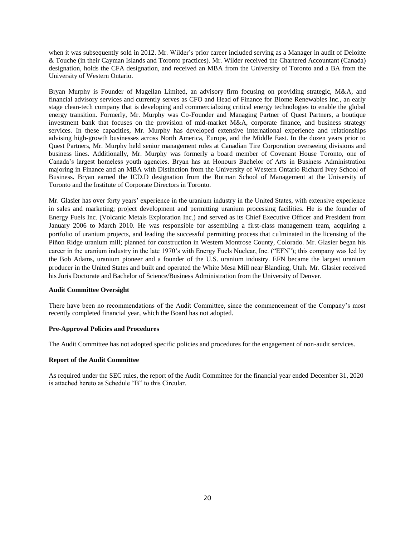when it was subsequently sold in 2012. Mr. Wilder's prior career included serving as a Manager in audit of Deloitte & Touche (in their Cayman Islands and Toronto practices). Mr. Wilder received the Chartered Accountant (Canada) designation, holds the CFA designation, and received an MBA from the University of Toronto and a BA from the University of Western Ontario.

Bryan Murphy is Founder of Magellan Limited, an advisory firm focusing on providing strategic, M&A, and financial advisory services and currently serves as CFO and Head of Finance for Biome Renewables Inc., an early stage clean-tech company that is developing and commercializing critical energy technologies to enable the global energy transition. Formerly, Mr. Murphy was Co-Founder and Managing Partner of Quest Partners, a boutique investment bank that focuses on the provision of mid-market M&A, corporate finance, and business strategy services. In these capacities, Mr. Murphy has developed extensive international experience and relationships advising high-growth businesses across North America, Europe, and the Middle East. In the dozen years prior to Quest Partners, Mr. Murphy held senior management roles at Canadian Tire Corporation overseeing divisions and business lines. Additionally, Mr. Murphy was formerly a board member of Covenant House Toronto, one of Canada's largest homeless youth agencies. Bryan has an Honours Bachelor of Arts in Business Administration majoring in Finance and an MBA with Distinction from the University of Western Ontario Richard Ivey School of Business. Bryan earned the ICD.D designation from the Rotman School of Management at the University of Toronto and the Institute of Corporate Directors in Toronto.

Mr. Glasier has over forty years' experience in the uranium industry in the United States, with extensive experience in sales and marketing; project development and permitting uranium processing facilities. He is the founder of Energy Fuels Inc. (Volcanic Metals Exploration Inc.) and served as its Chief Executive Officer and President from January 2006 to March 2010. He was responsible for assembling a first-class management team, acquiring a portfolio of uranium projects, and leading the successful permitting process that culminated in the licensing of the Piñon Ridge uranium mill; planned for construction in Western Montrose County, Colorado. Mr. Glasier began his career in the uranium industry in the late 1970's with Energy Fuels Nuclear, Inc. ("EFN"); this company was led by the Bob Adams, uranium pioneer and a founder of the U.S. uranium industry. EFN became the largest uranium producer in the United States and built and operated the White Mesa Mill near Blanding, Utah. Mr. Glasier received his Juris Doctorate and Bachelor of Science/Business Administration from the University of Denver.

# **Audit Committee Oversight**

There have been no recommendations of the Audit Committee, since the commencement of the Company's most recently completed financial year, which the Board has not adopted.

# **Pre-Approval Policies and Procedures**

The Audit Committee has not adopted specific policies and procedures for the engagement of non-audit services.

# **Report of the Audit Committee**

As required under the SEC rules, the report of the Audit Committee for the financial year ended December 31, 2020 is attached hereto as Schedule "B" to this Circular.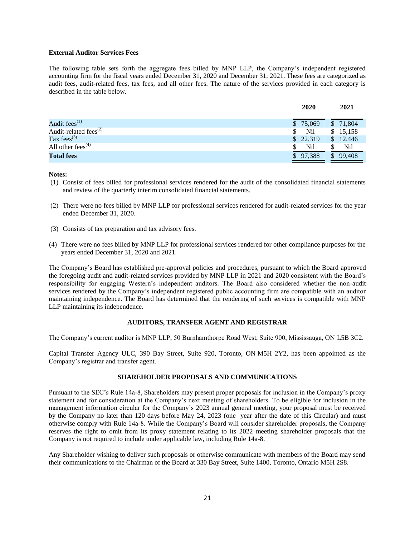# **External Auditor Services Fees**

The following table sets forth the aggregate fees billed by MNP LLP, the Company's independent registered accounting firm for the fiscal years ended December 31, 2020 and December 31, 2021. These fees are categorized as audit fees, audit-related fees, tax fees, and all other fees. The nature of the services provided in each category is described in the table below.

|                             | 2020                     | 2021     |
|-----------------------------|--------------------------|----------|
| Audit fees $^{(1)}$         | \$75,069                 | \$71,804 |
| Audit-related fees $^{(2)}$ | Nil<br>S.                | \$15,158 |
| Tax fees <sup>(3)</sup>     | \$22,319                 | \$12,446 |
| All other fees $(4)$        | Nil                      | Nil      |
| <b>Total fees</b>           | 97,388<br>$\mathbb{S}^-$ | 99,408   |

# **Notes:**

- (1) Consist of fees billed for professional services rendered for the audit of the consolidated financial statements and review of the quarterly interim consolidated financial statements.
- (2) There were no fees billed by MNP LLP for professional services rendered for audit-related services for the year ended December 31, 2020.
- (3) Consists of tax preparation and tax advisory fees.
- (4) There were no fees billed by MNP LLP for professional services rendered for other compliance purposes for the years ended December 31, 2020 and 2021.

The Company's Board has established pre-approval policies and procedures, pursuant to which the Board approved the foregoing audit and audit-related services provided by MNP LLP in 2021 and 2020 consistent with the Board's responsibility for engaging Western's independent auditors. The Board also considered whether the non-audit services rendered by the Company's independent registered public accounting firm are compatible with an auditor maintaining independence. The Board has determined that the rendering of such services is compatible with MNP LLP maintaining its independence.

# **AUDITORS, TRANSFER AGENT AND REGISTRAR**

The Company's current auditor is MNP LLP, 50 Burnhamthorpe Road West, Suite 900, Mississauga, ON L5B 3C2.

Capital Transfer Agency ULC, 390 Bay Street, Suite 920, Toronto, ON M5H 2Y2, has been appointed as the Company's registrar and transfer agent.

# **SHAREHOLDER PROPOSALS AND COMMUNICATIONS**

Pursuant to the SEC's Rule 14a-8, Shareholders may present proper proposals for inclusion in the Company's proxy statement and for consideration at the Company's next meeting of shareholders. To be eligible for inclusion in the management information circular for the Company's 2023 annual general meeting, your proposal must be received by the Company no later than 120 days before May 24, 2023 (one year after the date of this Circular) and must otherwise comply with Rule 14a-8. While the Company's Board will consider shareholder proposals, the Company reserves the right to omit from its proxy statement relating to its 2022 meeting shareholder proposals that the Company is not required to include under applicable law, including Rule 14a-8.

Any Shareholder wishing to deliver such proposals or otherwise communicate with members of the Board may send their communications to the Chairman of the Board at 330 Bay Street, Suite 1400, Toronto, Ontario M5H 2S8.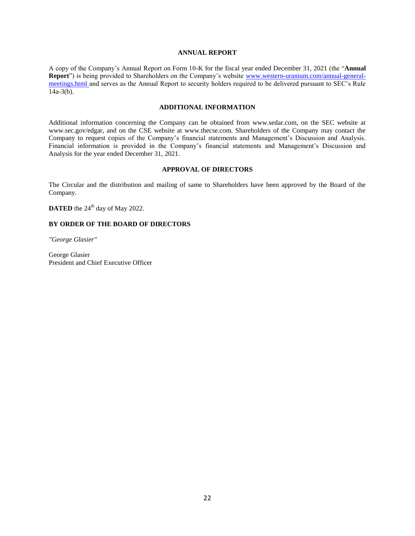# **ANNUAL REPORT**

A copy of the Company's Annual Report on Form 10-K for the fiscal year ended December 31, 2021 (the "**Annual Report**") is being provided to Shareholders on the Company's website [www.western-uranium.com/annual-general](http://www.western-uranium.com/annual-general-meetings.html)[meetings.html](http://www.western-uranium.com/annual-general-meetings.html) and serves as the Annual Report to security holders required to be delivered pursuant to SEC's Rule 14a-3(b).

# **ADDITIONAL INFORMATION**

Additional information concerning the Company can be obtained from www.sedar.com, on the SEC website at www.sec.gov/edgar, and on the CSE website at www.thecse.com. Shareholders of the Company may contact the Company to request copies of the Company's financial statements and Management's Discussion and Analysis. Financial information is provided in the Company's financial statements and Management's Discussion and Analysis for the year ended December 31, 2021.

# **APPROVAL OF DIRECTORS**

The Circular and the distribution and mailing of same to Shareholders have been approved by the Board of the Company.

**DATED** the  $24^{\text{th}}$  day of May 2022.

# **BY ORDER OF THE BOARD OF DIRECTORS**

*"George Glasier"*

George Glasier President and Chief Executive Officer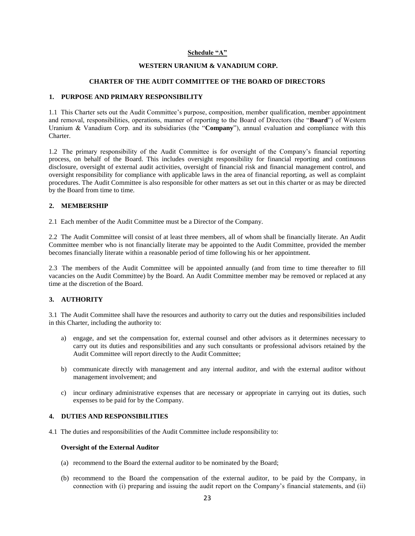# **Schedule "A"**

#### **WESTERN URANIUM & VANADIUM CORP.**

#### **CHARTER OF THE AUDIT COMMITTEE OF THE BOARD OF DIRECTORS**

# **1. PURPOSE AND PRIMARY RESPONSIBILITY**

1.1 This Charter sets out the Audit Committee's purpose, composition, member qualification, member appointment and removal, responsibilities, operations, manner of reporting to the Board of Directors (the "**Board**") of Western Uranium & Vanadium Corp. and its subsidiaries (the "**Company**"), annual evaluation and compliance with this Charter.

1.2 The primary responsibility of the Audit Committee is for oversight of the Company's financial reporting process, on behalf of the Board. This includes oversight responsibility for financial reporting and continuous disclosure, oversight of external audit activities, oversight of financial risk and financial management control, and oversight responsibility for compliance with applicable laws in the area of financial reporting, as well as complaint procedures. The Audit Committee is also responsible for other matters as set out in this charter or as may be directed by the Board from time to time.

# **2. MEMBERSHIP**

2.1 Each member of the Audit Committee must be a Director of the Company.

2.2 The Audit Committee will consist of at least three members, all of whom shall be financially literate. An Audit Committee member who is not financially literate may be appointed to the Audit Committee, provided the member becomes financially literate within a reasonable period of time following his or her appointment.

2.3 The members of the Audit Committee will be appointed annually (and from time to time thereafter to fill vacancies on the Audit Committee) by the Board. An Audit Committee member may be removed or replaced at any time at the discretion of the Board.

# **3. AUTHORITY**

3.1 The Audit Committee shall have the resources and authority to carry out the duties and responsibilities included in this Charter, including the authority to:

- a) engage, and set the compensation for, external counsel and other advisors as it determines necessary to carry out its duties and responsibilities and any such consultants or professional advisors retained by the Audit Committee will report directly to the Audit Committee;
- b) communicate directly with management and any internal auditor, and with the external auditor without management involvement; and
- c) incur ordinary administrative expenses that are necessary or appropriate in carrying out its duties, such expenses to be paid for by the Company.

# **4. DUTIES AND RESPONSIBILITIES**

4.1 The duties and responsibilities of the Audit Committee include responsibility to:

# **Oversight of the External Auditor**

- (a) recommend to the Board the external auditor to be nominated by the Board;
- (b) recommend to the Board the compensation of the external auditor, to be paid by the Company, in connection with (i) preparing and issuing the audit report on the Company's financial statements, and (ii)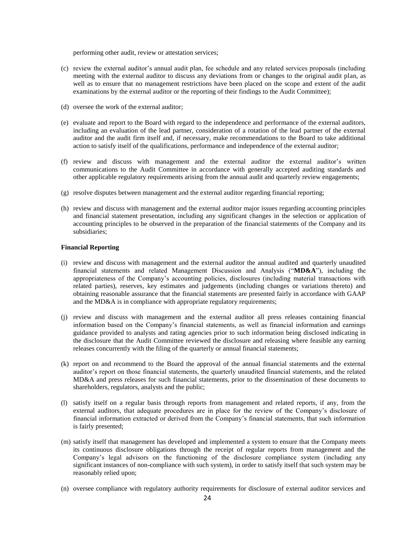performing other audit, review or attestation services;

- (c) review the external auditor's annual audit plan, fee schedule and any related services proposals (including meeting with the external auditor to discuss any deviations from or changes to the original audit plan, as well as to ensure that no management restrictions have been placed on the scope and extent of the audit examinations by the external auditor or the reporting of their findings to the Audit Committee);
- (d) oversee the work of the external auditor;
- (e) evaluate and report to the Board with regard to the independence and performance of the external auditors, including an evaluation of the lead partner, consideration of a rotation of the lead partner of the external auditor and the audit firm itself and, if necessary, make recommendations to the Board to take additional action to satisfy itself of the qualifications, performance and independence of the external auditor;
- (f) review and discuss with management and the external auditor the external auditor's written communications to the Audit Committee in accordance with generally accepted auditing standards and other applicable regulatory requirements arising from the annual audit and quarterly review engagements;
- (g) resolve disputes between management and the external auditor regarding financial reporting;
- (h) review and discuss with management and the external auditor major issues regarding accounting principles and financial statement presentation, including any significant changes in the selection or application of accounting principles to be observed in the preparation of the financial statements of the Company and its subsidiaries;

# **Financial Reporting**

- (i) review and discuss with management and the external auditor the annual audited and quarterly unaudited financial statements and related Management Discussion and Analysis ("**MD&A**"), including the appropriateness of the Company's accounting policies, disclosures (including material transactions with related parties), reserves, key estimates and judgements (including changes or variations thereto) and obtaining reasonable assurance that the financial statements are presented fairly in accordance with GAAP and the MD&A is in compliance with appropriate regulatory requirements;
- (j) review and discuss with management and the external auditor all press releases containing financial information based on the Company's financial statements, as well as financial information and earnings guidance provided to analysts and rating agencies prior to such information being disclosed indicating in the disclosure that the Audit Committee reviewed the disclosure and releasing where feasible any earning releases concurrently with the filing of the quarterly or annual financial statements;
- (k) report on and recommend to the Board the approval of the annual financial statements and the external auditor's report on those financial statements, the quarterly unaudited financial statements, and the related MD&A and press releases for such financial statements, prior to the dissemination of these documents to shareholders, regulators, analysts and the public;
- (l) satisfy itself on a regular basis through reports from management and related reports, if any, from the external auditors, that adequate procedures are in place for the review of the Company's disclosure of financial information extracted or derived from the Company's financial statements, that such information is fairly presented;
- (m) satisfy itself that management has developed and implemented a system to ensure that the Company meets its continuous disclosure obligations through the receipt of regular reports from management and the Company's legal advisors on the functioning of the disclosure compliance system (including any significant instances of non-compliance with such system), in order to satisfy itself that such system may be reasonably relied upon;
- (n) oversee compliance with regulatory authority requirements for disclosure of external auditor services and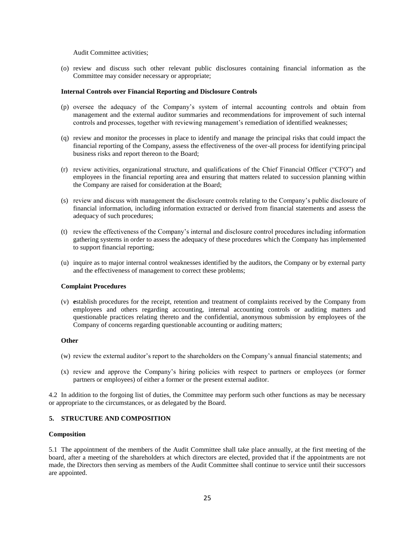Audit Committee activities;

(o) review and discuss such other relevant public disclosures containing financial information as the Committee may consider necessary or appropriate;

# **Internal Controls over Financial Reporting and Disclosure Controls**

- (p) oversee the adequacy of the Company's system of internal accounting controls and obtain from management and the external auditor summaries and recommendations for improvement of such internal controls and processes, together with reviewing management's remediation of identified weaknesses;
- (q) review and monitor the processes in place to identify and manage the principal risks that could impact the financial reporting of the Company, assess the effectiveness of the over-all process for identifying principal business risks and report thereon to the Board;
- (r) review activities, organizational structure, and qualifications of the Chief Financial Officer ("CFO") and employees in the financial reporting area and ensuring that matters related to succession planning within the Company are raised for consideration at the Board;
- (s) review and discuss with management the disclosure controls relating to the Company's public disclosure of financial information, including information extracted or derived from financial statements and assess the adequacy of such procedures;
- (t) review the effectiveness of the Company's internal and disclosure control procedures including information gathering systems in order to assess the adequacy of these procedures which the Company has implemented to support financial reporting;
- (u) inquire as to major internal control weaknesses identified by the auditors, the Company or by external party and the effectiveness of management to correct these problems;

# **Complaint Procedures**

(v) **e**stablish procedures for the receipt, retention and treatment of complaints received by the Company from employees and others regarding accounting, internal accounting controls or auditing matters and questionable practices relating thereto and the confidential, anonymous submission by employees of the Company of concerns regarding questionable accounting or auditing matters;

# **Other**

- (w) review the external auditor's report to the shareholders on the Company's annual financial statements; and
- (x) review and approve the Company's hiring policies with respect to partners or employees (or former partners or employees) of either a former or the present external auditor.

4.2 In addition to the forgoing list of duties, the Committee may perform such other functions as may be necessary or appropriate to the circumstances, or as delegated by the Board.

# **5. STRUCTURE AND COMPOSITION**

# **Composition**

5.1 The appointment of the members of the Audit Committee shall take place annually, at the first meeting of the board, after a meeting of the shareholders at which directors are elected, provided that if the appointments are not made, the Directors then serving as members of the Audit Committee shall continue to service until their successors are appointed.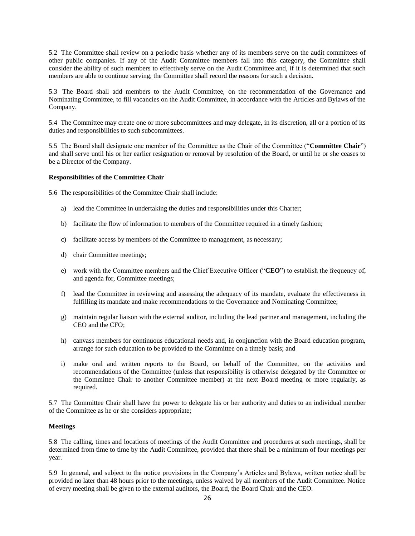5.2 The Committee shall review on a periodic basis whether any of its members serve on the audit committees of other public companies. If any of the Audit Committee members fall into this category, the Committee shall consider the ability of such members to effectively serve on the Audit Committee and, if it is determined that such members are able to continue serving, the Committee shall record the reasons for such a decision.

5.3 The Board shall add members to the Audit Committee, on the recommendation of the Governance and Nominating Committee, to fill vacancies on the Audit Committee, in accordance with the Articles and Bylaws of the Company.

5.4 The Committee may create one or more subcommittees and may delegate, in its discretion, all or a portion of its duties and responsibilities to such subcommittees.

5.5 The Board shall designate one member of the Committee as the Chair of the Committee ("**Committee Chair**") and shall serve until his or her earlier resignation or removal by resolution of the Board, or until he or she ceases to be a Director of the Company.

# **Responsibilities of the Committee Chair**

5.6 The responsibilities of the Committee Chair shall include:

- a) lead the Committee in undertaking the duties and responsibilities under this Charter;
- b) facilitate the flow of information to members of the Committee required in a timely fashion;
- c) facilitate access by members of the Committee to management, as necessary;
- d) chair Committee meetings;
- e) work with the Committee members and the Chief Executive Officer ("**CEO**") to establish the frequency of, and agenda for, Committee meetings;
- f) lead the Committee in reviewing and assessing the adequacy of its mandate, evaluate the effectiveness in fulfilling its mandate and make recommendations to the Governance and Nominating Committee;
- g) maintain regular liaison with the external auditor, including the lead partner and management, including the CEO and the CFO;
- h) canvass members for continuous educational needs and, in conjunction with the Board education program, arrange for such education to be provided to the Committee on a timely basis; and
- i) make oral and written reports to the Board, on behalf of the Committee, on the activities and recommendations of the Committee (unless that responsibility is otherwise delegated by the Committee or the Committee Chair to another Committee member) at the next Board meeting or more regularly, as required.

5.7 The Committee Chair shall have the power to delegate his or her authority and duties to an individual member of the Committee as he or she considers appropriate;

# **Meetings**

5.8 The calling, times and locations of meetings of the Audit Committee and procedures at such meetings, shall be determined from time to time by the Audit Committee, provided that there shall be a minimum of four meetings per year.

5.9 In general, and subject to the notice provisions in the Company's Articles and Bylaws, written notice shall be provided no later than 48 hours prior to the meetings, unless waived by all members of the Audit Committee. Notice of every meeting shall be given to the external auditors, the Board, the Board Chair and the CEO.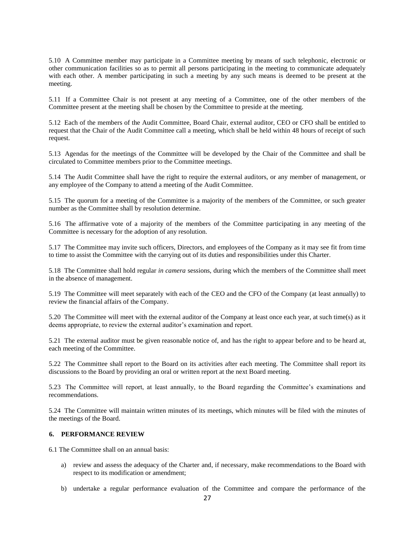5.10 A Committee member may participate in a Committee meeting by means of such telephonic, electronic or other communication facilities so as to permit all persons participating in the meeting to communicate adequately with each other. A member participating in such a meeting by any such means is deemed to be present at the meeting.

5.11 If a Committee Chair is not present at any meeting of a Committee, one of the other members of the Committee present at the meeting shall be chosen by the Committee to preside at the meeting.

5.12 Each of the members of the Audit Committee, Board Chair, external auditor, CEO or CFO shall be entitled to request that the Chair of the Audit Committee call a meeting, which shall be held within 48 hours of receipt of such request.

5.13 Agendas for the meetings of the Committee will be developed by the Chair of the Committee and shall be circulated to Committee members prior to the Committee meetings.

5.14 The Audit Committee shall have the right to require the external auditors, or any member of management, or any employee of the Company to attend a meeting of the Audit Committee.

5.15 The quorum for a meeting of the Committee is a majority of the members of the Committee, or such greater number as the Committee shall by resolution determine.

5.16 The affirmative vote of a majority of the members of the Committee participating in any meeting of the Committee is necessary for the adoption of any resolution.

5.17 The Committee may invite such officers, Directors, and employees of the Company as it may see fit from time to time to assist the Committee with the carrying out of its duties and responsibilities under this Charter.

5.18 The Committee shall hold regular *in camera* sessions, during which the members of the Committee shall meet in the absence of management.

5.19 The Committee will meet separately with each of the CEO and the CFO of the Company (at least annually) to review the financial affairs of the Company.

5.20 The Committee will meet with the external auditor of the Company at least once each year, at such time(s) as it deems appropriate, to review the external auditor's examination and report.

5.21 The external auditor must be given reasonable notice of, and has the right to appear before and to be heard at, each meeting of the Committee.

5.22 The Committee shall report to the Board on its activities after each meeting. The Committee shall report its discussions to the Board by providing an oral or written report at the next Board meeting.

5.23 The Committee will report, at least annually, to the Board regarding the Committee's examinations and recommendations.

5.24 The Committee will maintain written minutes of its meetings, which minutes will be filed with the minutes of the meetings of the Board.

# **6. PERFORMANCE REVIEW**

6.1 The Committee shall on an annual basis:

- a) review and assess the adequacy of the Charter and, if necessary, make recommendations to the Board with respect to its modification or amendment;
- b) undertake a regular performance evaluation of the Committee and compare the performance of the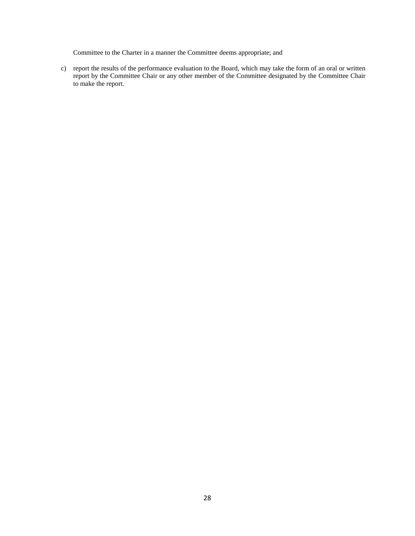Committee to the Charter in a manner the Committee deems appropriate; and

c) report the results of the performance evaluation to the Board, which may take the form of an oral or written report by the Committee Chair or any other member of the Committee designated by the Committee Chair to make the report.